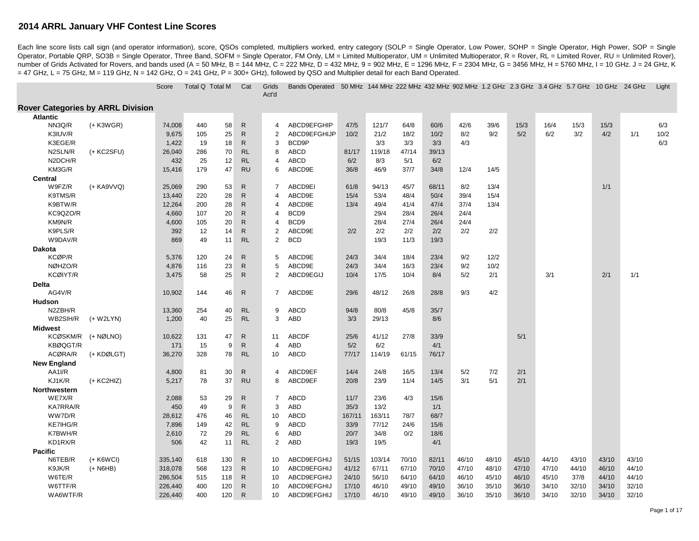Each line score lists call sign (and operator information), score, QSOs completed, multipliers worked, entry category (SOLP = Single Operator, Low Power, SOHP = Single Operator, High Power, SOP = Single Operator, High Powe Operator, Portable QRP, SO3B = Single Operator, Three Band, SOFM = Single Operator, FM Only, LM = Limited Multioperator, UM = Unlimited Multioperator, R = Rover, RL = Limited Rover, RU = Unlimited Rover, RU = Unlimited Rov number of Grids Activated for Rovers, and bands used (A = 50 MHz, B = 144 MHz, C = 222 MHz, D = 432 MHz, B = 902 MHz, E = 1296 MHz, F = 2304 MHz, G = 3456 MHz, H = 5760 MHz, I = 10 GHz. J = 24 GHz, K  $=$  47 GHz, L = 75 GHz, M = 119 GHz, N = 142 GHz, O = 241 GHz, P = 300+ GHz), followed by QSO and Multiplier detail for each Band Operated.

|                                          |             | Score              | Total Q Total M |            | Cat                          | Grids<br>Act'd                   | <b>Bands Operated</b> |                | 50 MHz 144 MHz 222 MHz 432 MHz 902 MHz 1.2 GHz 2.3 GHz 3.4 GHz 5.7 GHz 10 GHz 24 GHz |                |                |                |                |                |                |                |                |       | Light |
|------------------------------------------|-------------|--------------------|-----------------|------------|------------------------------|----------------------------------|-----------------------|----------------|--------------------------------------------------------------------------------------|----------------|----------------|----------------|----------------|----------------|----------------|----------------|----------------|-------|-------|
| <b>Rover Categories by ARRL Division</b> |             |                    |                 |            |                              |                                  |                       |                |                                                                                      |                |                |                |                |                |                |                |                |       |       |
| <b>Atlantic</b>                          |             |                    |                 |            |                              |                                  |                       |                |                                                                                      |                |                |                |                |                |                |                |                |       |       |
| NN3Q/R                                   | $(+$ K3WGR) | 74,008             | 440             | 58         | $\mathsf{R}$                 | $\overline{4}$                   | ABCD9EFGHIP           | 47/5           | 121/7                                                                                | 64/8           | 60/6           | 42/6           | 39/6           | 15/3           | 16/4           | 15/3           | 15/3           |       | 6/3   |
| K3IUV/R                                  |             | 9,675              | 105             | 25         | $\mathsf{R}$                 | 2                                | ABCD9EFGHIJP          | 10/2           | 21/2                                                                                 | 18/2           | 10/2           | 8/2            | 9/2            | 5/2            | 6/2            | 3/2            | 4/2            | 1/1   | 10/2  |
| K3EGE/R                                  |             | 1,422              | 19              | 18         | $\mathsf{R}$                 | 3                                | BCD9P                 |                | 3/3                                                                                  | 3/3            | 3/3            | 4/3            |                |                |                |                |                |       | 6/3   |
| N2SLN/R                                  | (+ KC2SFU)  | 26,040             | 286             | 70         | <b>RL</b>                    | 8                                | ABCD                  | 81/17          | 119/18                                                                               | 47/14          | 39/13          |                |                |                |                |                |                |       |       |
| N2DCH/R                                  |             | 432                | 25              | 12         | <b>RL</b>                    | 4                                | ABCD                  | 6/2            | 8/3                                                                                  | 5/1            | 6/2            |                |                |                |                |                |                |       |       |
| KM3G/R                                   |             | 15,416             | 179             | 47         | <b>RU</b>                    | 6                                | ABCD9E                | 36/8           | 46/9                                                                                 | 37/7           | 34/8           | 12/4           | 14/5           |                |                |                |                |       |       |
| Central                                  |             |                    |                 |            |                              |                                  |                       |                |                                                                                      |                |                |                |                |                |                |                |                |       |       |
| W9FZ/R                                   | (+ KA9VVQ)  | 25,069             | 290             | 53         | $\mathsf{R}$                 | $\overline{7}$                   | ABCD9EI               | 61/8           | 94/13                                                                                | 45/7           | 68/11          | 8/2            | 13/4           |                |                |                | 1/1            |       |       |
| K9TMS/R                                  |             | 13,440             | 220             | 28         | $\mathsf{R}$                 | $\overline{4}$                   | ABCD9E                | 15/4           | 53/4                                                                                 | 48/4           | 50/4           | 39/4           | 15/4           |                |                |                |                |       |       |
| K9BTW/R                                  |             | 12,264             | 200             | 28         | $\mathsf{R}$                 | $\overline{4}$                   | ABCD9E                | 13/4           | 49/4                                                                                 | 41/4           | 47/4           | 37/4           | 13/4           |                |                |                |                |       |       |
| KC9QZO/R                                 |             | 4,660              | 107             | 20         | $\mathsf{R}$                 | $\overline{4}$                   | BCD9                  |                | 29/4                                                                                 | 28/4           | 26/4           | 24/4           |                |                |                |                |                |       |       |
| KM9N/R                                   |             | 4,600              | 105             | 20         | $\mathsf{R}$<br>$\mathsf{R}$ | 4                                | BCD <sub>9</sub>      |                | 28/4                                                                                 | 27/4           | 26/4           | 24/4           |                |                |                |                |                |       |       |
| K9PLS/R<br>W9DAV/R                       |             | 392<br>869         | 12<br>49        | 14<br>11   | <b>RL</b>                    | $\overline{2}$<br>$\overline{2}$ | ABCD9E<br><b>BCD</b>  | 2/2            | 2/2<br>19/3                                                                          | 2/2<br>11/3    | 2/2<br>19/3    | 2/2            | 2/2            |                |                |                |                |       |       |
|                                          |             |                    |                 |            |                              |                                  |                       |                |                                                                                      |                |                |                |                |                |                |                |                |       |       |
| <b>Dakota</b><br>KCØP/R                  |             | 5,376              | 120             | 24         | $\mathsf{R}$                 | 5                                | ABCD9E                | 24/3           | 34/4                                                                                 | 18/4           | 23/4           | 9/2            | 12/2           |                |                |                |                |       |       |
| NØHZO/R                                  |             | 4,876              | 116             | 23         | $\mathsf{R}$                 | 5                                | ABCD9E                | 24/3           | 34/4                                                                                 | 16/3           | 23/4           | 9/2            | 10/2           |                |                |                |                |       |       |
| <b>KCØIYT/R</b>                          |             | 3,475              | 58              | 25         | $\mathsf{R}$                 | 2                                | ABCD9EGIJ             | 10/4           | 17/5                                                                                 | 10/4           | 8/4            | 5/2            | 2/1            |                | 3/1            |                | 2/1            | 1/1   |       |
| Delta                                    |             |                    |                 |            |                              |                                  |                       |                |                                                                                      |                |                |                |                |                |                |                |                |       |       |
| AG4V/R                                   |             | 10,902             | 144             | 46         | $\mathsf{R}$                 | $\overline{7}$                   | ABCD9E                | 29/6           | 48/12                                                                                | 26/8           | 28/8           | 9/3            | 4/2            |                |                |                |                |       |       |
| <b>Hudson</b>                            |             |                    |                 |            |                              |                                  |                       |                |                                                                                      |                |                |                |                |                |                |                |                |       |       |
| N2ZBH/R                                  |             | 13,360             | 254             | 40         | <b>RL</b>                    | 9                                | <b>ABCD</b>           | 94/8           | 80/8                                                                                 | 45/8           | 35/7           |                |                |                |                |                |                |       |       |
| WB2SIH/R                                 | $(+ W2LYN)$ | 1,200              | 40              | 25         | <b>RL</b>                    | 3                                | ABD                   | 3/3            | 29/13                                                                                |                | 8/6            |                |                |                |                |                |                |       |       |
| Midwest                                  |             |                    |                 |            |                              |                                  |                       |                |                                                                                      |                |                |                |                |                |                |                |                |       |       |
| KCØSKM/R                                 | (+ NØLNO)   | 10,622             | 131             | 47         | $\mathsf{R}$                 | 11                               | <b>ABCDF</b>          | 25/6           | 41/12                                                                                | 27/8           | 33/9           |                |                | 5/1            |                |                |                |       |       |
| KBØQGT/R                                 |             | 171                | 15              | 9          | $\mathsf{R}$                 | $\overline{4}$                   | ABD                   | 5/2            | 6/2                                                                                  |                | 4/1            |                |                |                |                |                |                |       |       |
| ACØRA/R                                  | (+ KDØLGT)  | 36,270             | 328             | 78         | <b>RL</b>                    | 10                               | ABCD                  | 77/17          | 114/19                                                                               | 61/15          | 76/17          |                |                |                |                |                |                |       |       |
| <b>New England</b>                       |             |                    |                 |            |                              |                                  |                       |                |                                                                                      |                |                |                |                |                |                |                |                |       |       |
| AA1I/R                                   |             | 4,800              | 81              | 30         | $\mathsf{R}$                 | $\overline{4}$                   | ABCD9EF               | 14/4           | 24/8                                                                                 | 16/5           | 13/4           | 5/2            | 7/2            | 2/1            |                |                |                |       |       |
| KJ1K/R                                   | (+ KC2HIZ)  | 5,217              | 78              | 37         | <b>RU</b>                    | 8                                | ABCD9EF               | 20/8           | 23/9                                                                                 | 11/4           | 14/5           | 3/1            | 5/1            | 2/1            |                |                |                |       |       |
| Northwestern                             |             |                    |                 |            |                              |                                  |                       |                |                                                                                      |                |                |                |                |                |                |                |                |       |       |
| WE7X/R                                   |             | 2,088              | 53              | 29         | $\mathsf{R}$                 | $\overline{7}$                   | <b>ABCD</b>           | 11/7           | 23/6                                                                                 | 4/3            | 15/6           |                |                |                |                |                |                |       |       |
| <b>KA7RRA/R</b>                          |             | 450                | 49              | 9          | $\mathsf{R}$                 | 3                                | ABD                   | 35/3           | 13/2                                                                                 |                | 1/1            |                |                |                |                |                |                |       |       |
| WW7D/R                                   |             | 28,612             | 476             | 46         | <b>RL</b>                    | 10                               | <b>ABCD</b>           | 167/11         | 163/11                                                                               | 78/7           | 68/7           |                |                |                |                |                |                |       |       |
| KE7IHG/R                                 |             | 7,896              | 149             | 42         | RL                           | 9                                | ABCD                  | 33/9           | 77/12                                                                                | 24/6           | 15/6           |                |                |                |                |                |                |       |       |
| K7BWH/R                                  |             | 2,610              | 72              | 29         | <b>RL</b>                    | 6                                | ABD                   | 20/7           | 34/8                                                                                 | 0/2            | 18/6           |                |                |                |                |                |                |       |       |
| KD1RX/R                                  |             | 506                | 42              | 11         | <b>RL</b>                    | 2                                | ABD                   | 19/3           | 19/5                                                                                 |                | 4/1            |                |                |                |                |                |                |       |       |
| <b>Pacific</b>                           |             |                    |                 |            | $\mathsf{R}$                 |                                  | ABCD9EFGHIJ           |                |                                                                                      |                |                |                |                |                |                |                |                | 43/10 |       |
| N6TEB/R                                  | $(+$ K6WCI) | 335,140            | 618<br>568      | 130<br>123 | $\mathsf{R}$                 | 10<br>10                         | ABCD9EFGHIJ           | 51/15          | 103/14<br>67/11                                                                      | 70/10<br>67/10 | 82/11<br>70/10 | 46/10<br>47/10 | 48/10<br>48/10 | 45/10<br>47/10 | 44/10<br>47/10 | 43/10<br>44/10 | 43/10<br>46/10 | 44/10 |       |
| K9JK/R<br>W6TE/R                         | $(+$ N6HB)  | 318,078<br>286,504 | 515             | 118        | $\mathsf{R}$                 | 10                               | ABCD9EFGHIJ           | 41/12<br>24/10 | 56/10                                                                                | 64/10          | 64/10          | 46/10          | 45/10          | 46/10          | 45/10          | 37/8           | 44/10          | 44/10 |       |
| W6TTF/R                                  |             | 226,440            | 400             | 120        | R                            | 10                               | ABCD9EFGHIJ           | 17/10          | 46/10                                                                                | 49/10          | 49/10          | 36/10          | 35/10          | 36/10          | 34/10          | 32/10          | 34/10          | 32/10 |       |
| WA6WTF/R                                 |             | 226,440            | 400             | 120        | $\mathsf{R}$                 | 10                               | ABCD9EFGHIJ           | 17/10          | 46/10                                                                                | 49/10          | 49/10          | 36/10          | 35/10          | 36/10          | 34/10          | 32/10          | 34/10          | 32/10 |       |
|                                          |             |                    |                 |            |                              |                                  |                       |                |                                                                                      |                |                |                |                |                |                |                |                |       |       |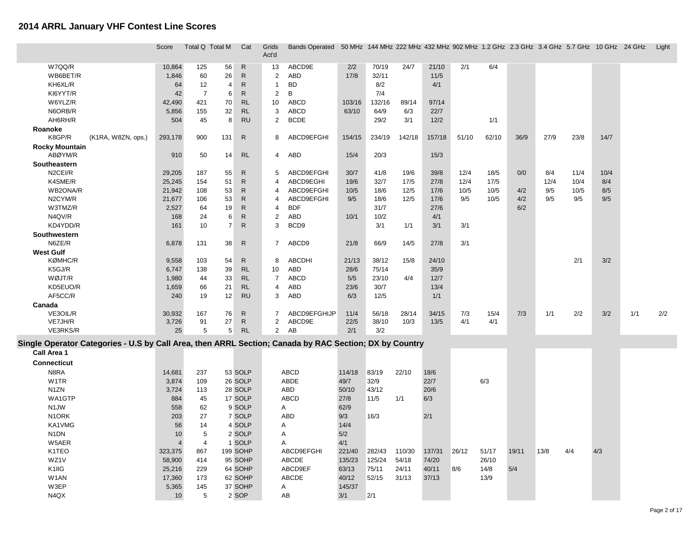|                                                                                                        | Score           | Total Q Total M |                | Cat                          | Grids<br>Act'd                 | Bands Operated 50 MHz 144 MHz 222 MHz 432 MHz 902 MHz 1.2 GHz 2.3 GHz 3.4 GHz 5.7 GHz 10 GHz 24 GHz |              |                |               |               |            |             |       |      |      |      |     | Light |
|--------------------------------------------------------------------------------------------------------|-----------------|-----------------|----------------|------------------------------|--------------------------------|-----------------------------------------------------------------------------------------------------|--------------|----------------|---------------|---------------|------------|-------------|-------|------|------|------|-----|-------|
|                                                                                                        |                 |                 |                |                              |                                |                                                                                                     |              |                |               |               |            |             |       |      |      |      |     |       |
| W7QQ/R                                                                                                 | 10,864          | 125             | 56             | $\mathsf{R}$                 | 13                             | ABCD9E                                                                                              | 2/2          | 70/19          | 24/7          | 21/10         | 2/1        | 6/4         |       |      |      |      |     |       |
| WB6BET/R                                                                                               | 1,846           | 60              | 26             | $\mathsf{R}$                 | $\overline{c}$                 | <b>ABD</b>                                                                                          | 17/8         | 32/11          |               | 11/5          |            |             |       |      |      |      |     |       |
| KH6XL/R                                                                                                | 64              | 12              | $\overline{4}$ | $\mathsf{R}$                 | $\mathbf{1}$                   | <b>BD</b>                                                                                           |              | 8/2            |               | 4/1           |            |             |       |      |      |      |     |       |
| KI6YYT/R                                                                                               | 42              | $\overline{7}$  | 6              | $\mathsf{R}$                 | $\overline{c}$                 | В                                                                                                   |              | 7/4            |               |               |            |             |       |      |      |      |     |       |
| W6YLZ/R                                                                                                | 42,490          | 421             | 70             | RL                           | 10                             | <b>ABCD</b>                                                                                         | 103/16       | 132/16         | 89/14         | 97/14         |            |             |       |      |      |      |     |       |
| N6ORB/R                                                                                                | 5,856           | 155             | 32<br>8        | <b>RL</b>                    | 3                              | <b>ABCD</b>                                                                                         | 63/10        | 64/9           | 6/3           | 22/7          |            |             |       |      |      |      |     |       |
| AH6RH/R                                                                                                | 504             | 45              |                | <b>RU</b>                    | 2                              | $\mathsf{BCDE}$                                                                                     |              | 29/2           | 3/1           | 12/2          |            | 1/1         |       |      |      |      |     |       |
| Roanoke<br>K8GP/R<br>(K1RA, W8ZN, ops.)                                                                | 293,178         | 900             | 131            | ${\sf R}$                    | 8                              | ABCD9EFGHI                                                                                          | 154/15       | 234/19         | 142/18        | 157/18        | 51/10      | 62/10       | 36/9  | 27/9 | 23/8 | 14/7 |     |       |
| <b>Rocky Mountain</b>                                                                                  |                 |                 |                |                              |                                |                                                                                                     |              |                |               |               |            |             |       |      |      |      |     |       |
| ABØYM/R                                                                                                | 910             | 50              | 14             | <b>RL</b>                    | 4                              | ABD                                                                                                 | 15/4         | 20/3           |               | 15/3          |            |             |       |      |      |      |     |       |
| Southeastern                                                                                           |                 |                 |                |                              |                                |                                                                                                     |              |                |               |               |            |             |       |      |      |      |     |       |
| N2CEI/R                                                                                                | 29,205          | 187             | 55             | $\mathsf{R}$                 | 5                              | ABCD9EFGHI                                                                                          | 30/7         | 41/8           | 19/6          | 39/8          | 12/4       | 18/5        | 0/0   | 8/4  | 11/4 | 10/4 |     |       |
| K4SME/R                                                                                                | 25,245          | 154             | 51             | $\mathsf{R}$                 | 4                              | ABCD9EGHI                                                                                           | 19/6         | 32/7           | 17/5          | 27/8          | 12/4       | 17/5        |       | 12/4 | 10/4 | 8/4  |     |       |
| WB2ONA/R                                                                                               | 21,942          | 108             | 53             | $\mathsf{R}$                 | 4                              | ABCD9EFGHI                                                                                          | 10/5         | 18/6           | 12/5          | 17/6          | 10/5       | 10/5        | 4/2   | 9/5  | 10/5 | 8/5  |     |       |
| N2CYM/R                                                                                                | 21,677          | 106             | 53             | $\mathsf{R}$                 | 4                              | ABCD9EFGHI                                                                                          | 9/5          | 18/6           | 12/5          | 17/6          | 9/5        | 10/5        | 4/2   | 9/5  | 9/5  | 9/5  |     |       |
| W3TMZ/R                                                                                                | 2,527           | 64              | 19             | $\mathsf{R}$                 | $\overline{4}$                 | <b>BDF</b>                                                                                          |              | 31/7           |               | 27/6          |            |             | 6/2   |      |      |      |     |       |
| N4QV/R                                                                                                 | 168             | 24              | 6              | $\mathsf{R}$                 | $\overline{c}$                 | <b>ABD</b>                                                                                          | 10/1         | 10/2           |               | 4/1           |            |             |       |      |      |      |     |       |
| KD4YDD/R                                                                                               | 161             | 10              | $\overline{7}$ | ${\sf R}$                    | 3                              | BCD9                                                                                                |              | 3/1            | 1/1           | 3/1           | 3/1        |             |       |      |      |      |     |       |
| Southwestern                                                                                           |                 |                 |                |                              |                                |                                                                                                     |              |                |               |               |            |             |       |      |      |      |     |       |
| N6ZE/R                                                                                                 | 6,878           | 131             | 38             | $\mathsf{R}$                 | $\overline{7}$                 | ABCD9                                                                                               | 21/8         | 66/9           | 14/5          | 27/8          | 3/1        |             |       |      |      |      |     |       |
| <b>West Gulf</b>                                                                                       |                 |                 |                |                              |                                |                                                                                                     |              |                |               |               |            |             |       |      |      |      |     |       |
| <b>KØMHC/R</b>                                                                                         | 9,558           | 103             | 54             | $\mathsf{R}$                 | 8                              | <b>ABCDHI</b>                                                                                       | 21/13        | 38/12          | 15/8          | 24/10         |            |             |       |      | 2/1  | 3/2  |     |       |
| K5GJ/R                                                                                                 | 6,747           | 138             | 39             | <b>RL</b>                    | 10                             | ABD                                                                                                 | 28/6         | 75/14          |               | 35/9          |            |             |       |      |      |      |     |       |
| WØJT/R                                                                                                 | 1,980           | 44              | 33             | <b>RL</b>                    | $\overline{7}$                 | <b>ABCD</b>                                                                                         | 5/5          | 23/10          | 4/4           | 12/7          |            |             |       |      |      |      |     |       |
| KD5EUO/R                                                                                               | 1,659           | 66              | 21             | <b>RL</b>                    | 4                              | ABD                                                                                                 | 23/6         | 30/7           |               | 13/4          |            |             |       |      |      |      |     |       |
| AF5CC/R                                                                                                | 240             | 19              | 12             | <b>RU</b>                    | 3                              | ABD                                                                                                 | 6/3          | 12/5           |               | 1/1           |            |             |       |      |      |      |     |       |
| Canada                                                                                                 |                 |                 |                |                              |                                |                                                                                                     |              |                |               |               |            |             |       |      |      |      |     |       |
| VE3OIL/R<br>VE7JH/R                                                                                    | 30,932<br>3,726 | 167<br>91       | 76<br>27       | $\mathsf{R}$<br>$\mathsf{R}$ | $\overline{7}$<br>$\mathbf{2}$ | ABCD9EFGHIJP<br>ABCD9E                                                                              | 11/4<br>22/5 | 56/18<br>38/10 | 28/14<br>10/3 | 34/15<br>13/5 | 7/3<br>4/1 | 15/4<br>4/1 | 7/3   | 1/1  | 2/2  | 3/2  | 1/1 | 2/2   |
| VE3RKS/R                                                                                               | 25              | 5               | 5              | <b>RL</b>                    | 2                              | AB                                                                                                  | 2/1          | 3/2            |               |               |            |             |       |      |      |      |     |       |
| Single Operator Categories - U.S by Call Area, then ARRL Section; Canada by RAC Section; DX by Country |                 |                 |                |                              |                                |                                                                                                     |              |                |               |               |            |             |       |      |      |      |     |       |
| Call Area 1                                                                                            |                 |                 |                |                              |                                |                                                                                                     |              |                |               |               |            |             |       |      |      |      |     |       |
| <b>Connecticut</b>                                                                                     |                 |                 |                |                              |                                |                                                                                                     |              |                |               |               |            |             |       |      |      |      |     |       |
|                                                                                                        |                 |                 |                |                              |                                |                                                                                                     |              |                |               |               |            |             |       |      |      |      |     |       |
| N8RA                                                                                                   | 14,681          | 237             |                | 53 SOLP                      |                                | <b>ABCD</b>                                                                                         | 114/18       | 83/19          | 22/10         | 18/6          |            |             |       |      |      |      |     |       |
| W <sub>1</sub> TR                                                                                      | 3,874           | 109             |                | 26 SOLP                      |                                | ABDE                                                                                                | 49/7         | 32/9           |               | 22/7          |            | 6/3         |       |      |      |      |     |       |
| N <sub>1</sub> ZN                                                                                      | 3,724           | 113             |                | 28 SOLP                      |                                | ABD                                                                                                 | 50/10        | 43/12          |               | 20/6          |            |             |       |      |      |      |     |       |
| WA1GTP<br>N <sub>1</sub> JW                                                                            | 884             | 45              |                | 17 SOLP<br>9 SOLP            |                                | <b>ABCD</b>                                                                                         | 27/8<br>62/9 | 11/5           | 1/1           | 6/3           |            |             |       |      |      |      |     |       |
| N <sub>1</sub> ORK                                                                                     | 558<br>203      | 62<br>27        |                | 7 SOLP                       |                                | Α<br><b>ABD</b>                                                                                     | 9/3          | 16/3           |               | 2/1           |            |             |       |      |      |      |     |       |
| KA1VMG                                                                                                 | 56              | 14              |                | 4 SOLP                       |                                | Α                                                                                                   | 14/4         |                |               |               |            |             |       |      |      |      |     |       |
| N <sub>1</sub> DN                                                                                      | 10              | 5               |                | 2 SOLP                       |                                | Α                                                                                                   | 5/2          |                |               |               |            |             |       |      |      |      |     |       |
| W5AER                                                                                                  | $\overline{4}$  | $\overline{4}$  |                | 1 SOLP                       |                                | A                                                                                                   | 4/1          |                |               |               |            |             |       |      |      |      |     |       |
| K1TEO                                                                                                  | 323,375         | 867             |                | 199 SOHP                     |                                | ABCD9EFGHI                                                                                          | 221/40       | 282/43         | 110/30        | 137/31        | 26/12      | 51/17       | 19/11 | 13/8 | 4/4  | 4/3  |     |       |
| WZ1V                                                                                                   | 58,900          | 414             |                | 95 SOHP                      |                                | <b>ABCDE</b>                                                                                        | 135/23       | 125/24         | 54/18         | 74/20         |            | 26/10       |       |      |      |      |     |       |
| K1IIG                                                                                                  | 25,216          | 229             |                | 64 SOHP                      |                                | ABCD9EF                                                                                             | 63/13        | 75/11          | 24/11         | 40/11         | 8/6        | 14/8        | 5/4   |      |      |      |     |       |
| W <sub>1</sub> AN                                                                                      | 17,360          | 173             |                | 62 SOHP                      |                                | <b>ABCDE</b>                                                                                        | 40/12        | 52/15          | 31/13         | 37/13         |            | 13/9        |       |      |      |      |     |       |
| W3EP                                                                                                   | 5,365           | 145             |                | 37 SOHP                      |                                | Α                                                                                                   | 145/37       |                |               |               |            |             |       |      |      |      |     |       |
| N4QX                                                                                                   | 10              | 5               |                | 2 SOP                        |                                | AB                                                                                                  | 3/1          | 2/1            |               |               |            |             |       |      |      |      |     |       |
|                                                                                                        |                 |                 |                |                              |                                |                                                                                                     |              |                |               |               |            |             |       |      |      |      |     |       |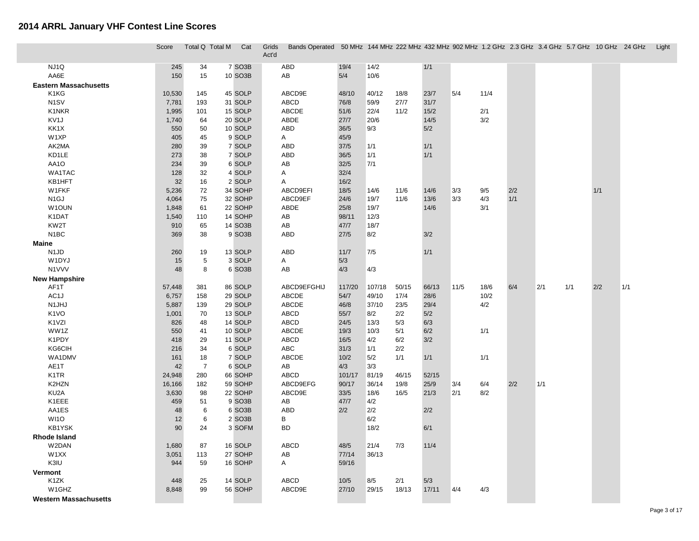|                                | Score        | Total Q Total M | Cat               | Grids<br>Act'd | Bands Operated 50 MHz 144 MHz 222 MHz 432 MHz 902 MHz 1.2 GHz 2.3 GHz 3.4 GHz 5.7 GHz 10 GHz 24 GHz |              |             |       |       |        |      |     |     |     |     |     | Light |
|--------------------------------|--------------|-----------------|-------------------|----------------|-----------------------------------------------------------------------------------------------------|--------------|-------------|-------|-------|--------|------|-----|-----|-----|-----|-----|-------|
| NJ1Q                           | 245          | 34              | 7 SO3B            |                | ABD                                                                                                 | 19/4         | 14/2        |       | 1/1   |        |      |     |     |     |     |     |       |
| AA6E                           | 150          | 15              | 10 SO3B           |                | AB                                                                                                  | 5/4          | 10/6        |       |       |        |      |     |     |     |     |     |       |
| <b>Eastern Massachusetts</b>   |              |                 |                   |                |                                                                                                     |              |             |       |       |        |      |     |     |     |     |     |       |
| K1KG                           | 10,530       | 145             | 45 SOLP           |                | ABCD9E                                                                                              | 48/10        | 40/12       | 18/8  | 23/7  | 5/4    | 11/4 |     |     |     |     |     |       |
| N <sub>1</sub> SV              | 7,781        | 193             | 31 SOLP           |                | <b>ABCD</b>                                                                                         | 76/8         | 59/9        | 27/7  | 31/7  |        |      |     |     |     |     |     |       |
| K1NKR                          | 1,995        | 101             | 15 SOLP           |                | ABCDE                                                                                               | $51/6$       | 22/4        | 11/2  | 15/2  |        | 2/1  |     |     |     |     |     |       |
| KV <sub>1</sub> J              | 1,740        | 64              | 20 SOLP           |                | ABDE                                                                                                | 27/7         | 20/6        |       | 14/5  |        | 3/2  |     |     |     |     |     |       |
| KK1X                           | 550          | 50              | 10 SOLP           |                | ABD                                                                                                 | 36/5         | 9/3         |       | 5/2   |        |      |     |     |     |     |     |       |
| W1XP                           | 405          | 45              | 9 SOLP            |                | A                                                                                                   | 45/9         |             |       |       |        |      |     |     |     |     |     |       |
| AK2MA                          | 280          | 39              | 7 SOLP            |                | ABD                                                                                                 | 37/5         | 1/1         |       | 1/1   |        |      |     |     |     |     |     |       |
| KD1LE                          | 273          | 38              | 7 SOLP            |                | <b>ABD</b>                                                                                          | 36/5         | 1/1         |       | 1/1   |        |      |     |     |     |     |     |       |
| AA1O                           | 234          | 39              | 6 SOLP            |                | AB                                                                                                  | 32/5         | 7/1         |       |       |        |      |     |     |     |     |     |       |
| WA1TAC                         | 128          | 32              | 4 SOLP            |                | Α                                                                                                   | 32/4         |             |       |       |        |      |     |     |     |     |     |       |
| KB1HFT                         | 32           | 16              | 2 SOLP            |                | A                                                                                                   | 16/2         |             |       |       |        |      |     |     |     |     |     |       |
| W1FKF                          | 5,236        | 72              | 34 SOHP           |                | ABCD9EFI                                                                                            | 18/5         | 14/6        | 11/6  | 14/6  | 3/3    | 9/5  | 2/2 |     |     | 1/1 |     |       |
| N <sub>1</sub> GJ              | 4,064        | 75              | 32 SOHP           |                | ABCD9EF                                                                                             | 24/6         | 19/7        | 11/6  | 13/6  | 3/3    | 4/3  | 1/1 |     |     |     |     |       |
| W <sub>1</sub> OUN             | 1,848        | 61              | 22 SOHP           |                | ABDE                                                                                                | 25/8         | 19/7        |       | 14/6  |        | 3/1  |     |     |     |     |     |       |
| K1DAT                          | 1,540        | 110             | 14 SOHP           |                | AB                                                                                                  | 98/11        | 12/3        |       |       |        |      |     |     |     |     |     |       |
| KW2T                           | 910          | 65              | 14 SO3B           |                | AB                                                                                                  | 47/7         | 18/7        |       |       |        |      |     |     |     |     |     |       |
| N <sub>1</sub> BC              | 369          | 38              | 9 SO3B            |                | <b>ABD</b>                                                                                          | 27/5         | 8/2         |       | 3/2   |        |      |     |     |     |     |     |       |
| <b>Maine</b>                   |              |                 |                   |                |                                                                                                     |              |             |       |       |        |      |     |     |     |     |     |       |
| N <sub>1</sub> J <sub>D</sub>  | 260          | 19              | 13 SOLP           |                | <b>ABD</b>                                                                                          | 11/7         | 7/5         |       | 1/1   |        |      |     |     |     |     |     |       |
| W1DYJ                          | 15           | $\sqrt{5}$      | 3 SOLP            |                | A                                                                                                   | 5/3          |             |       |       |        |      |     |     |     |     |     |       |
| N1VVV                          | 48           | 8               | 6 SO3B            |                | AB                                                                                                  | 4/3          | 4/3         |       |       |        |      |     |     |     |     |     |       |
| <b>New Hampshire</b>           |              |                 |                   |                |                                                                                                     |              |             |       |       |        |      |     |     |     |     |     |       |
| AF1T                           | 57,448       | 381             | 86 SOLP           |                | ABCD9EFGHIJ                                                                                         | 117/20       | 107/18      | 50/15 | 66/13 | $11/5$ | 18/6 | 6/4 | 2/1 | 1/1 | 2/2 | 1/1 |       |
| AC1J                           | 6,757        | 158             | 29 SOLP           |                | ABCDE                                                                                               | 54/7         | 49/10       | 17/4  | 28/6  |        | 10/2 |     |     |     |     |     |       |
| N1JHJ                          | 5,887        | 139             | 29 SOLP           |                | ABCDE                                                                                               | 46/8         | 37/10       | 23/5  | 29/4  |        | 4/2  |     |     |     |     |     |       |
| K <sub>1</sub> VO              | 1,001        | 70              | 13 SOLP           |                | ABCD                                                                                                | 55/7         | 8/2         | 2/2   | 5/2   |        |      |     |     |     |     |     |       |
| K <sub>1</sub> V <sub>ZI</sub> | 826          | 48              | 14 SOLP           |                | ABCD                                                                                                | 24/5         | 13/3        | 5/3   | 6/3   |        |      |     |     |     |     |     |       |
| WW1Z                           | 550          | 41              | 10 SOLP           |                | ABCDE                                                                                               | 19/3         | 10/3        | 5/1   | 6/2   |        | 1/1  |     |     |     |     |     |       |
| K1PDY                          | 418          | 29              | 11 SOLP           |                | ABCD                                                                                                | 16/5         | 4/2         | 6/2   | 3/2   |        |      |     |     |     |     |     |       |
| KG6CIH                         | 216          | 34              | 6 SOLP            |                | ABC                                                                                                 | 31/3         | 1/1         | 2/2   |       |        |      |     |     |     |     |     |       |
| WA1DMV                         | 161          | 18              | 7 SOLP            |                | ABCDE                                                                                               | 10/2         | 5/2         | 1/1   | 1/1   |        | 1/1  |     |     |     |     |     |       |
| AE1T                           | 42           | $\overline{7}$  | 6 SOLP            |                | AB                                                                                                  | 4/3          | 3/3         |       |       |        |      |     |     |     |     |     |       |
| K <sub>1</sub> TR              | 24,948       | 280             | 66 SOHP           |                | ABCD                                                                                                | 101/17       | 81/19       | 46/15 | 52/15 |        |      |     |     |     |     |     |       |
| K2HZN<br>KU <sub>2</sub> A     | 16,166       | 182             | 59 SOHP           |                | ABCD9EFG                                                                                            | 90/17        | 36/14       | 19/8  | 25/9  | 3/4    | 6/4  | 2/2 | 1/1 |     |     |     |       |
| K1EEE                          | 3,630<br>459 | 98              | 22 SOHP<br>9 SO3B |                | ABCD9E<br>AB                                                                                        | 33/5<br>47/7 | 18/6<br>4/2 | 16/5  | 21/3  | 2/1    | 8/2  |     |     |     |     |     |       |
| AA1ES                          | 48           | 51<br>6         | 6 SO3B            |                | <b>ABD</b>                                                                                          | 2/2          | 2/2         |       | 2/2   |        |      |     |     |     |     |     |       |
| WI1O                           | 12           | 6               | 2 SO3B            |                | В                                                                                                   |              | 6/2         |       |       |        |      |     |     |     |     |     |       |
| <b>KB1YSK</b>                  | 90           | 24              | 3 SOFM            |                | <b>BD</b>                                                                                           |              | 18/2        |       | 6/1   |        |      |     |     |     |     |     |       |
| <b>Rhode Island</b>            |              |                 |                   |                |                                                                                                     |              |             |       |       |        |      |     |     |     |     |     |       |
| W2DAN                          | 1,680        | 87              | 16 SOLP           |                | <b>ABCD</b>                                                                                         | 48/5         | 21/4        | 7/3   | 11/4  |        |      |     |     |     |     |     |       |
| W1XX                           | 3,051        | 113             | 27 SOHP           |                | AB                                                                                                  | 77/14        | 36/13       |       |       |        |      |     |     |     |     |     |       |
| K3IU                           | 944          | 59              | 16 SOHP           |                | A                                                                                                   | 59/16        |             |       |       |        |      |     |     |     |     |     |       |
| Vermont                        |              |                 |                   |                |                                                                                                     |              |             |       |       |        |      |     |     |     |     |     |       |
| K <sub>1</sub> ZK              | 448          | 25              | 14 SOLP           |                | <b>ABCD</b>                                                                                         | 10/5         | 8/5         | 2/1   | 5/3   |        |      |     |     |     |     |     |       |
| W1GHZ                          | 8,848        | 99              | 56 SOHP           |                | ABCD9E                                                                                              | 27/10        | 29/15       | 18/13 | 17/11 | 4/4    | 4/3  |     |     |     |     |     |       |
| <b>Western Massachusetts</b>   |              |                 |                   |                |                                                                                                     |              |             |       |       |        |      |     |     |     |     |     |       |
|                                |              |                 |                   |                |                                                                                                     |              |             |       |       |        |      |     |     |     |     |     |       |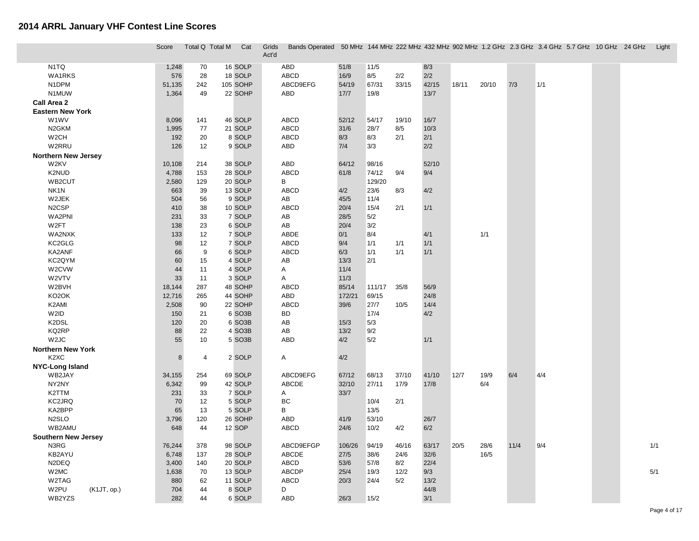|                               | Score  | Total Q Total M  | Cat                 | Grids<br>Act'd |              |        |        |       |       |       |       |      | Bands Operated 50 MHz 144 MHz 222 MHz 432 MHz 902 MHz 1.2 GHz 2.3 GHz 3.4 GHz 5.7 GHz 10 GHz 24 GHz |  | Light |
|-------------------------------|--------|------------------|---------------------|----------------|--------------|--------|--------|-------|-------|-------|-------|------|-----------------------------------------------------------------------------------------------------|--|-------|
| N <sub>1</sub> TQ             | 1,248  | 70               | 16 SOLP             |                | ABD          | 51/8   | 11/5   |       | 8/3   |       |       |      |                                                                                                     |  |       |
| <b>WA1RKS</b>                 | 576    | 28               | 18 SOLP             |                | ABCD         | 16/9   | 8/5    | 2/2   | 2/2   |       |       |      |                                                                                                     |  |       |
| N1DPM                         | 51,135 | 242              | 105 SOHP            |                | ABCD9EFG     | 54/19  | 67/31  | 33/15 | 42/15 | 18/11 | 20/10 | 7/3  | 1/1                                                                                                 |  |       |
| N1MUW                         | 1,364  | 49               | 22 SOHP             |                | ABD          | 17/7   | 19/8   |       | 13/7  |       |       |      |                                                                                                     |  |       |
| Call Area 2                   |        |                  |                     |                |              |        |        |       |       |       |       |      |                                                                                                     |  |       |
| <b>Eastern New York</b>       |        |                  |                     |                |              |        |        |       |       |       |       |      |                                                                                                     |  |       |
| W1WV                          | 8,096  | 141              | 46 SOLP             |                | ABCD         | 52/12  | 54/17  | 19/10 | 16/7  |       |       |      |                                                                                                     |  |       |
| N <sub>2</sub> GKM            | 1,995  | 77               | 21 SOLP             |                | ABCD         | 31/6   | 28/7   | 8/5   | 10/3  |       |       |      |                                                                                                     |  |       |
| W <sub>2</sub> CH             | 192    | 20               | 8 SOLP              |                | ABCD         | 8/3    | 8/3    | 2/1   | 2/1   |       |       |      |                                                                                                     |  |       |
| W2RRU                         | 126    | 12               | 9 SOLP              |                | ABD          | 7/4    | 3/3    |       | 2/2   |       |       |      |                                                                                                     |  |       |
| <b>Northern New Jersey</b>    |        |                  |                     |                |              |        |        |       |       |       |       |      |                                                                                                     |  |       |
| W2KV                          | 10,108 | 214              | 38 SOLP             |                | ABD          | 64/12  | 98/16  |       | 52/10 |       |       |      |                                                                                                     |  |       |
| K2NUD                         | 4,788  | 153              | 28 SOLP             |                | ABCD         | 61/8   | 74/12  | 9/4   | 9/4   |       |       |      |                                                                                                     |  |       |
| WB2CUT                        | 2,580  | 129              | 20 SOLP             |                | В            |        | 129/20 |       |       |       |       |      |                                                                                                     |  |       |
| NK <sub>1</sub> N             | 663    | 39               | 13 SOLP             |                | ABCD         | 4/2    | 23/6   | 8/3   | 4/2   |       |       |      |                                                                                                     |  |       |
| W2JEK                         | 504    | 56               | 9 SOLP              |                | AB           | 45/5   | 11/4   |       |       |       |       |      |                                                                                                     |  |       |
| N <sub>2</sub> CSP            | 410    | 38               | 10 SOLP             |                | ABCD         | 20/4   | 15/4   | 2/1   | 1/1   |       |       |      |                                                                                                     |  |       |
| WA2PNI                        | 231    | 33               | 7 SOLP              |                | AB           | 28/5   | 5/2    |       |       |       |       |      |                                                                                                     |  |       |
| W2FT                          | 138    | 23               | 6 SOLP              |                | AB           | 20/4   | 3/2    |       |       |       |       |      |                                                                                                     |  |       |
| WA2NXK                        | 133    | 12               | 7 SOLP              |                | ABDE         | 0/1    | 8/4    |       | 4/1   |       | 1/1   |      |                                                                                                     |  |       |
| KC2GLG                        | 98     | 12               | 7 SOLP              |                | ABCD         | 9/4    | 1/1    | 1/1   | 1/1   |       |       |      |                                                                                                     |  |       |
| KA2ANF                        | 66     | $\boldsymbol{9}$ | 6 SOLP              |                | ABCD         | 6/3    | 1/1    | 1/1   | 1/1   |       |       |      |                                                                                                     |  |       |
| KC2QYM                        | 60     | 15               | 4 SOLP              |                | AB           | 13/3   | 2/1    |       |       |       |       |      |                                                                                                     |  |       |
| W2CVW                         | 44     | 11               | 4 SOLP              |                | Α            | 11/4   |        |       |       |       |       |      |                                                                                                     |  |       |
| W2VTV                         | 33     | 11               | 3 SOLP              |                | A            | 11/3   |        |       |       |       |       |      |                                                                                                     |  |       |
| W2BVH                         | 18,144 | 287              | 48 SOHP             |                | <b>ABCD</b>  | 85/14  | 111/17 | 35/8  | 56/9  |       |       |      |                                                                                                     |  |       |
| KO <sub>2</sub> OK            | 12,716 | 265              | 44 SOHP             |                | ABD          | 172/21 | 69/15  |       | 24/8  |       |       |      |                                                                                                     |  |       |
| K2AMI                         | 2,508  | 90               | 22 SOHP             |                | ABCD         | 39/6   | 27/7   | 10/5  | 14/4  |       |       |      |                                                                                                     |  |       |
| W2ID                          | 150    | 21               | 6 SO3B              |                | BD           |        | 17/4   |       | 4/2   |       |       |      |                                                                                                     |  |       |
| K2DSL                         | 120    | 20               | 6 SO3B              |                | AB           | 15/3   | 5/3    |       |       |       |       |      |                                                                                                     |  |       |
| KQ2RP                         | 88     | 22               | 4 SO <sub>3</sub> B |                | AB           | 13/2   | 9/2    |       |       |       |       |      |                                                                                                     |  |       |
| W <sub>2J</sub> C             | 55     | 10               | 5 SO3B              |                | ABD          | 4/2    | 5/2    |       | 1/1   |       |       |      |                                                                                                     |  |       |
| <b>Northern New York</b>      |        |                  |                     |                |              |        |        |       |       |       |       |      |                                                                                                     |  |       |
| K <sub>2</sub> X <sub>C</sub> |        | 8<br>4           | 2 SOLP              |                | A            | 4/2    |        |       |       |       |       |      |                                                                                                     |  |       |
| <b>NYC-Long Island</b>        |        |                  |                     |                |              |        |        |       |       |       |       |      |                                                                                                     |  |       |
| WB2JAY                        | 34,155 | 254              | 69 SOLP             |                | ABCD9EFG     | 67/12  | 68/13  | 37/10 | 41/10 | 12/7  | 19/9  | 6/4  | 4/4                                                                                                 |  |       |
| NY2NY                         | 6,342  | 99               | 42 SOLP             |                | ABCDE        | 32/10  | 27/11  | 17/9  | 17/8  |       | 6/4   |      |                                                                                                     |  |       |
| K2TTM                         | 231    | 33               | 7 SOLP              |                | A            | 33/7   |        |       |       |       |       |      |                                                                                                     |  |       |
| KC2JRQ                        | 70     | 12               | 5 SOLP              |                | BC           |        | 10/4   | 2/1   |       |       |       |      |                                                                                                     |  |       |
| KA2BPP                        | 65     | 13               | 5 SOLP              |                | в            |        | 13/5   |       |       |       |       |      |                                                                                                     |  |       |
| N <sub>2</sub> SLO            | 3,796  | 120              | 26 SOHP             |                | ABD          | 41/9   | 53/10  |       | 26/7  |       |       |      |                                                                                                     |  |       |
| WB2AMU                        | 648    | 44               | 12 SOP              |                | ABCD         | 24/6   | 10/2   | 4/2   | 6/2   |       |       |      |                                                                                                     |  |       |
| <b>Southern New Jersey</b>    |        |                  |                     |                |              |        |        |       |       |       |       |      |                                                                                                     |  |       |
| N3RG                          | 76,244 | 378              | 98 SOLP             |                | ABCD9EFGP    | 106/26 | 94/19  | 46/16 | 63/17 | 20/5  | 28/6  | 11/4 | 9/4                                                                                                 |  | 1/1   |
| KB2AYU                        | 6,748  | 137              | 28 SOLP             |                | ABCDE        | 27/5   | 38/6   | 24/6  | 32/6  |       | 16/5  |      |                                                                                                     |  |       |
| N2DEQ                         | 3,400  | 140              | 20 SOLP             |                | ABCD         | 53/6   | 57/8   | 8/2   | 22/4  |       |       |      |                                                                                                     |  |       |
| W2MC                          | 1,638  | 70               | 13 SOLP             |                | <b>ABCDP</b> | 25/4   | 19/3   | 12/2  | 9/3   |       |       |      |                                                                                                     |  | 5/1   |
| W2TAG                         | 880    | 62               | 11 SOLP             |                | ABCD         | 20/3   | 24/4   | 5/2   | 13/2  |       |       |      |                                                                                                     |  |       |
| W2PU<br>(K1JT, op.)           | 704    | 44               | 8 SOLP              |                | D            |        |        |       | 44/8  |       |       |      |                                                                                                     |  |       |
| WB2YZS                        | 282    | 44               | 6 SOLP              |                | ABD          | 26/3   | 15/2   |       | 3/1   |       |       |      |                                                                                                     |  |       |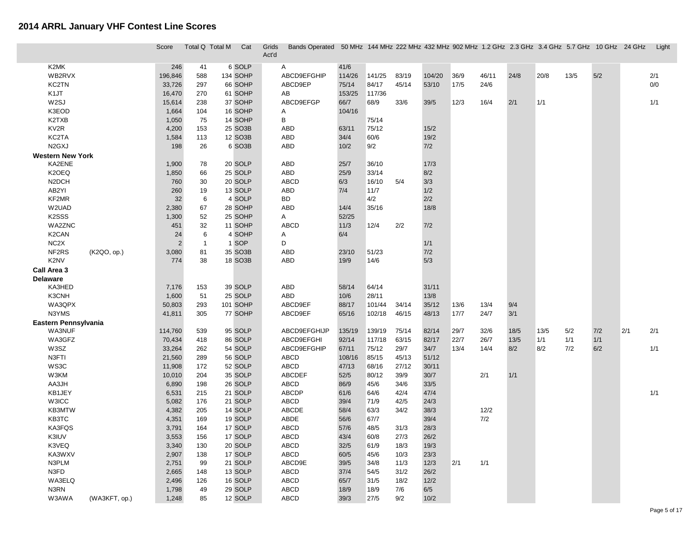|                                 | Score          | Total Q Total M | Cat                | Grids<br>Act'd | Bands Operated 50 MHz 144 MHz 222 MHz 432 MHz 902 MHz 1.2 GHz 2.3 GHz 3.4 GHz 5.7 GHz 10 GHz 24 GHz |        |        |       |        |        |       |      |      |      |       |     | Light |
|---------------------------------|----------------|-----------------|--------------------|----------------|-----------------------------------------------------------------------------------------------------|--------|--------|-------|--------|--------|-------|------|------|------|-------|-----|-------|
| K2MK                            | 246            | 41              | 6 SOLP             | A              |                                                                                                     | 41/6   |        |       |        |        |       |      |      |      |       |     |       |
| WB2RVX                          | 196,846        | 588             | 134 SOHP           | ABCD9EFGHIP    |                                                                                                     | 114/26 | 141/25 | 83/19 | 104/20 | 36/9   | 46/11 | 24/8 | 20/8 | 13/5 | 5/2   |     | 2/1   |
| KC2TN                           | 33,726         | 297             | 66 SOHP            | ABCD9EP        |                                                                                                     | 75/14  | 84/17  | 45/14 | 53/10  | 17/5   | 24/6  |      |      |      |       |     | 0/0   |
| K <sub>1</sub> JT               | 16,470         | 270             | 61 SOHP            | AB             |                                                                                                     | 153/25 | 117/36 |       |        |        |       |      |      |      |       |     |       |
| W2SJ                            | 15,614         | 238             | 37 SOHP            | ABCD9EFGP      |                                                                                                     | 66/7   | 68/9   | 33/6  | 39/5   | 12/3   | 16/4  | 2/1  | 1/1  |      |       |     | 1/1   |
| K3EOD                           | 1,664          | 104             | 16 SOHP            | A              |                                                                                                     | 104/16 |        |       |        |        |       |      |      |      |       |     |       |
| K2TXB                           | 1,050          | 75              | 14 SOHP            | B              |                                                                                                     |        | 75/14  |       |        |        |       |      |      |      |       |     |       |
| KV <sub>2</sub> R               | 4,200          | 153             | 25 SO3B            | <b>ABD</b>     |                                                                                                     | 63/11  | 75/12  |       | 15/2   |        |       |      |      |      |       |     |       |
| KC2TA                           | 1,584          | 113             | 12 SO3B            | ABD            |                                                                                                     | 34/4   | 60/6   |       | 19/2   |        |       |      |      |      |       |     |       |
| N <sub>2</sub> G <sub>X</sub> J | 198            | 26              | 6 SO3B             | ABD            |                                                                                                     | 10/2   | 9/2    |       | 7/2    |        |       |      |      |      |       |     |       |
|                                 |                |                 |                    |                |                                                                                                     |        |        |       |        |        |       |      |      |      |       |     |       |
| <b>Western New York</b>         |                |                 |                    |                |                                                                                                     |        |        |       |        |        |       |      |      |      |       |     |       |
| KA2ENE<br>K2OEQ                 | 1,900          | 78              | 20 SOLP<br>25 SOLP | ABD<br>ABD     |                                                                                                     | 25/7   | 36/10  |       | 17/3   |        |       |      |      |      |       |     |       |
|                                 | 1,850          | 66              |                    |                |                                                                                                     | 25/9   | 33/14  |       | 8/2    |        |       |      |      |      |       |     |       |
| N <sub>2</sub> DCH              | 760            | 30              | 20 SOLP            | ABCD           | 6/3                                                                                                 |        | 16/10  | 5/4   | 3/3    |        |       |      |      |      |       |     |       |
| AB2YI                           | 260            | 19              | 13 SOLP            | ABD            | 7/4                                                                                                 |        | 11/7   |       | 1/2    |        |       |      |      |      |       |     |       |
| KF2MR                           | 32             | 6               | 4 SOLP             | BD             |                                                                                                     |        | 4/2    |       | 2/2    |        |       |      |      |      |       |     |       |
| W2UAD                           | 2,380          | 67              | 28 SOHP            | <b>ABD</b>     |                                                                                                     | 14/4   | 35/16  |       | 18/8   |        |       |      |      |      |       |     |       |
| K <sub>2</sub> SSS              | 1,300          | 52              | 25 SOHP            | A              |                                                                                                     | 52/25  |        |       |        |        |       |      |      |      |       |     |       |
| WA2ZNC                          | 451            | 32              | 11 SOHP            | <b>ABCD</b>    |                                                                                                     | 11/3   | 12/4   | 2/2   | 7/2    |        |       |      |      |      |       |     |       |
| K <sub>2</sub> CAN              | 24             | 6               | 4 SOHP             | Α              |                                                                                                     | 6/4    |        |       |        |        |       |      |      |      |       |     |       |
| NC <sub>2</sub> X               | $\overline{2}$ | $\mathbf{1}$    | 1 SOP              | D              |                                                                                                     |        |        |       | 1/1    |        |       |      |      |      |       |     |       |
| NF2RS<br>(K2QO, op.)            | 3,080          | 81              | 35 SO3B            | ABD            |                                                                                                     | 23/10  | 51/23  |       | 7/2    |        |       |      |      |      |       |     |       |
| K2NV                            | 774            | 38              | 18 SO3B            | ABD            |                                                                                                     | 19/9   | 14/6   |       | 5/3    |        |       |      |      |      |       |     |       |
| Call Area 3                     |                |                 |                    |                |                                                                                                     |        |        |       |        |        |       |      |      |      |       |     |       |
| <b>Delaware</b>                 |                |                 |                    |                |                                                                                                     |        |        |       |        |        |       |      |      |      |       |     |       |
| KA3HED                          | 7,176          | 153             | 39 SOLP            | ABD            |                                                                                                     | 58/14  | 64/14  |       | 31/11  |        |       |      |      |      |       |     |       |
| K3CNH                           | 1,600          | 51              | 25 SOLP            | ABD            |                                                                                                     | 10/6   | 28/11  |       | 13/8   |        |       |      |      |      |       |     |       |
| WA3QPX                          | 50,803         | 293             | 101 SOHP           | ABCD9EF        |                                                                                                     | 88/17  | 101/44 | 34/14 | 35/12  | 13/6   | 13/4  | 9/4  |      |      |       |     |       |
| N3YMS                           | 41,811         | 305             | 77 SOHP            | ABCD9EF        |                                                                                                     | 65/16  | 102/18 | 46/15 | 48/13  | $17/7$ | 24/7  | 3/1  |      |      |       |     |       |
| Eastern Pennsylvania            |                |                 |                    |                |                                                                                                     |        |        |       |        |        |       |      |      |      |       |     |       |
| <b>WA3NUF</b>                   | 114,760        | 539             | 95 SOLP            | ABCD9EFGHIJP   |                                                                                                     | 135/19 | 139/19 | 75/14 | 82/14  | 29/7   | 32/6  | 18/5 | 13/5 | 5/2  | 7/2   | 2/1 | 2/1   |
| WA3GFZ                          | 70,434         | 418             | 86 SOLP            | ABCD9EFGHI     |                                                                                                     | 92/14  | 117/18 | 63/15 | 82/17  | 22/7   | 26/7  | 13/5 | 1/1  | 1/1  | $1/1$ |     |       |
| W3SZ                            | 33,264         | 262             | 54 SOLP            | ABCD9EFGHIP    |                                                                                                     | 67/11  | 75/12  | 29/7  | 34/7   | 13/4   | 14/4  | 8/2  | 8/2  | 7/2  | 6/2   |     | 1/1   |
| N3FTI                           | 21,560         | 289             | 56 SOLP            | ABCD           |                                                                                                     | 108/16 | 85/15  | 45/13 | 51/12  |        |       |      |      |      |       |     |       |
| WS3C                            | 11,908         | 172             | 52 SOLP            | ABCD           |                                                                                                     | 47/13  | 68/16  | 27/12 | 30/11  |        |       |      |      |      |       |     |       |
| W3KM                            | 10,010         | 204             | 35 SOLP            | ABCDEF         |                                                                                                     | $52/5$ | 80/12  | 39/9  | 30/7   |        | 2/1   | 1/1  |      |      |       |     |       |
| AA3JH                           | 6,890          | 198             | 26 SOLP            | ABCD           |                                                                                                     | 86/9   | 45/6   | 34/6  | 33/5   |        |       |      |      |      |       |     |       |
| KB1JEY                          | 6,531          | 215             | 21 SOLP            | ABCDP          |                                                                                                     | 61/6   | 64/6   | 42/4  | 47/4   |        |       |      |      |      |       |     | 1/1   |
| W3ICC                           | 5,082          | 176             | 21 SOLP            | ABCD           |                                                                                                     | 39/4   | 71/9   | 42/5  | 24/3   |        |       |      |      |      |       |     |       |
| KB3MTW                          | 4,382          | 205             | 14 SOLP            | ABCDE          |                                                                                                     | 58/4   | 63/3   | 34/2  | 38/3   |        | 12/2  |      |      |      |       |     |       |
| KB3TC                           | 4,351          | 169             | 19 SOLP            | ABDE           |                                                                                                     | 56/6   | 67/7   |       | 39/4   |        | 7/2   |      |      |      |       |     |       |
| KA3FQS                          | 3,791          | 164             | 17 SOLP            | ABCD           |                                                                                                     | 57/6   | 48/5   | 31/3  | 28/3   |        |       |      |      |      |       |     |       |
| K3IUV                           | 3,553          | 156             | 17 SOLP            | ABCD           |                                                                                                     | 43/4   | 60/8   | 27/3  | 26/2   |        |       |      |      |      |       |     |       |
| K3VEQ                           | 3,340          | 130             | 20 SOLP            | ABCD           |                                                                                                     | 32/5   | 61/9   | 18/3  | 19/3   |        |       |      |      |      |       |     |       |
| KA3WXV                          | 2,907          | 138             | 17 SOLP            | ABCD           |                                                                                                     | 60/5   | 45/6   | 10/3  | 23/3   |        |       |      |      |      |       |     |       |
| N3PLM                           | 2,751          | 99              | 21 SOLP            | ABCD9E         |                                                                                                     | 39/5   | $34/8$ | 11/3  | 12/3   | 2/1    | 1/1   |      |      |      |       |     |       |
| N3FD                            | 2,665          | 148             | 13 SOLP            | ABCD           |                                                                                                     | 37/4   | 54/5   | 31/2  | 26/2   |        |       |      |      |      |       |     |       |
| WA3ELQ                          | 2,496          | 126             | 16 SOLP            | ABCD           |                                                                                                     | 65/7   | $31/5$ | 18/2  | 12/2   |        |       |      |      |      |       |     |       |
| N3RN                            | 1,798          | 49              | 29 SOLP            | ABCD           |                                                                                                     | 18/9   | 18/9   | 7/6   | 6/5    |        |       |      |      |      |       |     |       |
| W3AWA<br>(WA3KFT, op.)          | 1,248          | 85              | 12 SOLP            | ABCD           |                                                                                                     | 39/3   | 27/5   | 9/2   | 10/2   |        |       |      |      |      |       |     |       |
|                                 |                |                 |                    |                |                                                                                                     |        |        |       |        |        |       |      |      |      |       |     |       |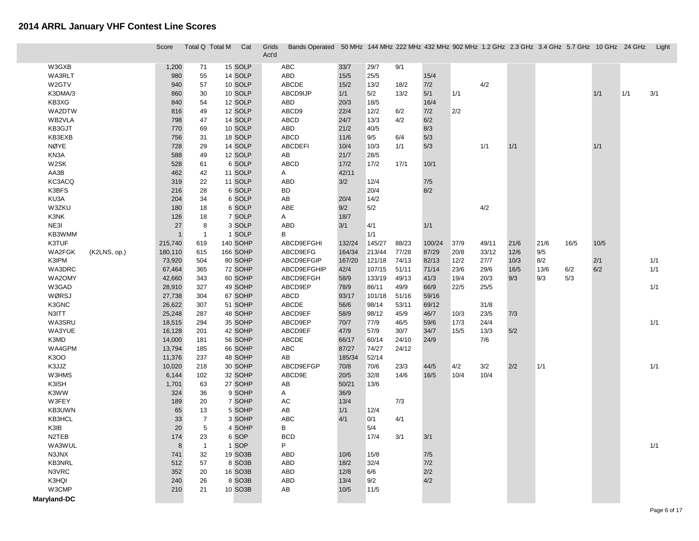|                        | Score          | Total Q Total M      | Cat                 | Bands Operated 50 MHz 144 MHz 222 MHz 432 MHz 902 MHz 1.2 GHz 2.3 GHz 3.4 GHz 5.7 GHz 10 GHz 24 GHz Light<br>Grids<br>Act'd |            |        |       |        |      |       |      |      |      |      |     |     |
|------------------------|----------------|----------------------|---------------------|-----------------------------------------------------------------------------------------------------------------------------|------------|--------|-------|--------|------|-------|------|------|------|------|-----|-----|
| W3GXB                  | 1,200          | 71                   | 15 SOLP             | ABC                                                                                                                         | 33/7       | 29/7   | 9/1   |        |      |       |      |      |      |      |     |     |
| WA3RLT                 | 980            | 55                   | 14 SOLP             | ABD                                                                                                                         | 15/5       | $25/5$ |       | 15/4   |      |       |      |      |      |      |     |     |
| W2GTV                  | 940            | 57                   | 10 SOLP             | ABCDE                                                                                                                       | 15/2       | 13/2   | 18/2  | 7/2    |      | 4/2   |      |      |      |      |     |     |
| K3DMA/3                | 860            | 30                   | 10 SOLP             | ABCD9IJP                                                                                                                    | 1/1        | 5/2    | 13/2  | 5/1    | 1/1  |       |      |      |      | 1/1  | 1/1 | 3/1 |
| KB3XG                  | 840            | 54                   | 12 SOLP             | ABD                                                                                                                         | 20/3       | 18/5   |       | 16/4   |      |       |      |      |      |      |     |     |
| WA2DTW                 | 816            | 49                   | 12 SOLP             | ABCD9                                                                                                                       | 22/4       | 12/2   | 6/2   | 7/2    | 2/2  |       |      |      |      |      |     |     |
| WB2VLA                 | 798            | 47                   | 14 SOLP             | ABCD                                                                                                                        | 24/7       | 13/3   | 4/2   | 6/2    |      |       |      |      |      |      |     |     |
| KB3GJT                 | 770            | 69                   | 10 SOLP             | ABD                                                                                                                         | 21/2       | 40/5   |       | 8/3    |      |       |      |      |      |      |     |     |
| KB3EXB                 | 756            | 31                   | 18 SOLP             | ABCD                                                                                                                        | 11/6       | 9/5    | 6/4   | 5/3    |      |       |      |      |      |      |     |     |
| <b>NØYE</b>            | 728            | 29                   | 14 SOLP             | <b>ABCDEFI</b>                                                                                                              | 10/4       | 10/3   | 1/1   | 5/3    |      | 1/1   | 1/1  |      |      | 1/1  |     |     |
| KN3A                   | 588            | 49                   | 12 SOLP             | AB                                                                                                                          | 21/7       | 28/5   |       |        |      |       |      |      |      |      |     |     |
| W2SK                   | 528            | 61                   | 6 SOLP              | ABCD                                                                                                                        | $17/2$     | 17/2   | 17/1  | 10/1   |      |       |      |      |      |      |     |     |
| AA3B                   | 462            | 42                   | 11 SOLP             | A                                                                                                                           | 42/11      |        |       |        |      |       |      |      |      |      |     |     |
| KC3ACQ                 | 319            | 22                   | 11 SOLP             | ABD                                                                                                                         | 3/2        | 12/4   |       | 7/5    |      |       |      |      |      |      |     |     |
| K3BFS                  | 216            | 28                   | 6 SOLP              | <b>BD</b>                                                                                                                   |            | 20/4   |       | 8/2    |      |       |      |      |      |      |     |     |
| KU3A                   | 204            | 34                   | 6 SOLP              | AB                                                                                                                          | 20/4       | 14/2   |       |        |      |       |      |      |      |      |     |     |
| W3ZKU                  | 180            | 18                   | 6 SOLP              | ABE                                                                                                                         | 9/2        | 5/2    |       |        |      | 4/2   |      |      |      |      |     |     |
| K3NK                   | 126            | 18                   | 7 SOLP              | A                                                                                                                           | 18/7       |        |       |        |      |       |      |      |      |      |     |     |
| NE3I                   | 27             | 8                    | 3 SOLP              | ABD                                                                                                                         | 3/1        | 4/1    |       | 1/1    |      |       |      |      |      |      |     |     |
| KB3WMM                 | $\overline{1}$ | $\overline{1}$       | 1 SOLP              | В                                                                                                                           |            | 1/1    |       |        |      |       |      |      |      |      |     |     |
| K3TUF                  | 215,740        | 619                  | 140 SOHP            | ABCD9EFGHI                                                                                                                  | 132/24     | 145/27 | 88/23 | 100/24 | 37/9 | 49/11 | 21/6 | 21/6 | 16/5 | 10/5 |     |     |
| WA2FGK<br>(K2LNS, op.) | 180,110        | 615                  | 166 SOHP            | ABCD9EFG                                                                                                                    | 164/34     | 213/44 | 77/28 | 87/29  | 20/8 | 33/12 | 12/6 | 9/5  |      |      |     |     |
| K3IPM                  | 73,920         | 504                  | 80 SOHP             | ABCD9EFGIP                                                                                                                  | 167/20     | 121/18 | 74/13 | 82/13  | 12/2 | 27/7  | 10/3 | 8/2  |      | 2/1  |     | 1/1 |
| WA3DRC                 | 67,464         | 365                  | 72 SOHP             | ABCD9EFGHIP                                                                                                                 | 42/4       | 107/15 | 51/11 | 71/14  | 23/6 | 29/6  | 16/5 | 13/6 | 6/2  | 6/2  |     | 1/1 |
| WA2OMY                 | 42,660         | 343                  | 60 SOHP             | ABCD9EFGH                                                                                                                   | 58/9       | 133/19 | 49/13 | 41/3   | 19/4 | 20/3  | 9/3  | 9/3  | 5/3  |      |     |     |
| W3GAD                  | 28,910         | 327                  | 49 SOHP             | ABCD9EP                                                                                                                     | 78/9       | 86/11  | 49/9  | 66/9   | 22/5 | 25/5  |      |      |      |      |     | 1/1 |
| WØRSJ                  | 27,738         | 304                  | 67 SOHP             | ABCD                                                                                                                        | 93/17      | 101/18 | 51/16 | 59/16  |      |       |      |      |      |      |     |     |
| K3GNC                  | 26,622         | 307                  | 51 SOHP             | ABCDE                                                                                                                       | 56/6       | 98/14  | 53/11 | 69/12  |      | 31/8  |      |      |      |      |     |     |
| N3ITT                  | 25,248         | 287                  | 48 SOHP             | ABCD9EF                                                                                                                     | 58/9       | 98/12  | 45/9  | 46/7   | 10/3 | 23/5  | 7/3  |      |      |      |     |     |
| WA3SRU                 | 18,515         | 294                  | 35 SOHP             | ABCD9EP                                                                                                                     | 70/7       | 77/9   | 46/5  | 59/6   | 17/3 | 24/4  |      |      |      |      |     | 1/1 |
| WA3YUE                 | 16,128         | 201                  | 42 SOHP             | ABCD9EF                                                                                                                     | 47/9       | 57/9   | 30/7  | 34/7   | 15/5 | 13/3  | 5/2  |      |      |      |     |     |
| K3MD                   | 14,000         | 181                  | 56 SOHP             | ABCDE                                                                                                                       | 66/17      | 60/14  | 24/10 | 24/9   |      | 7/6   |      |      |      |      |     |     |
| WA4GPM                 | 13,794         | 185                  | 66 SOHP             | ${\sf ABC}$                                                                                                                 | 87/27      | 74/27  | 24/12 |        |      |       |      |      |      |      |     |     |
| K3OO                   | 11,376         | 237                  | 48 SOHP             | AB                                                                                                                          | 185/34     | 52/14  |       |        |      |       |      |      |      |      |     |     |
| K3JJZ                  | 10,020         | 218                  | 30 SOHP             | ABCD9EFGP                                                                                                                   | 70/8       | 70/6   | 23/3  | 44/5   | 4/2  | 3/2   | 2/2  | 1/1  |      |      |     | 1/1 |
| W3HMS                  | 6,144          | 102                  | 32 SOHP             | ABCD9E                                                                                                                      | 20/5       | 32/8   | 14/6  | 16/5   | 10/4 | 10/4  |      |      |      |      |     |     |
| K3ISH                  | 1,701          | 63                   | 27 SOHP             | AB                                                                                                                          | 50/21      | 13/6   |       |        |      |       |      |      |      |      |     |     |
| K3WW                   | 324            | 36                   | 9 SOHP              | A                                                                                                                           | 36/9       |        |       |        |      |       |      |      |      |      |     |     |
| W3FEY                  | 189            | 20                   | 7 SOHP              | AC                                                                                                                          | 13/4       |        | 7/3   |        |      |       |      |      |      |      |     |     |
| KB3UWN<br>KB3HCL       | 65             | 13                   | 5 SOHP              | AB<br>ABC                                                                                                                   | 1/1<br>4/1 | 12/4   |       |        |      |       |      |      |      |      |     |     |
|                        | 33             | $\overline{7}$       | 3 SOHP              |                                                                                                                             |            | 0/1    | 4/1   |        |      |       |      |      |      |      |     |     |
| K3IB<br>N2TEB          | 20             | 5                    | 4 SOHP              | В<br><b>BCD</b>                                                                                                             |            | 5/4    |       |        |      |       |      |      |      |      |     |     |
| WA3WUL                 | 174<br>8       | 23<br>$\overline{1}$ | 6 SOP<br>1 SOP      | P.                                                                                                                          |            | 17/4   | 3/1   | 3/1    |      |       |      |      |      |      |     | 1/1 |
| N3JNX                  | 741            | 32                   | 19 SO3B             | ABD                                                                                                                         | 10/6       | 15/8   |       | 7/5    |      |       |      |      |      |      |     |     |
| KB3NRL                 | 512            | 57                   | 8 SO <sub>3</sub> B | ABD                                                                                                                         | 18/2       | 32/4   |       | 7/2    |      |       |      |      |      |      |     |     |
| N3VRC                  | 352            | 20                   | 16 SO3B             | ABD                                                                                                                         | 12/8       | 6/6    |       | $2/2$  |      |       |      |      |      |      |     |     |
| K3HQI                  | 240            | 26                   | 8 SO3B              | ABD                                                                                                                         | 13/4       | 9/2    |       | 4/2    |      |       |      |      |      |      |     |     |
| W3CMP                  | 210            | 21                   | 10 SO3B             | AB                                                                                                                          | 10/5       | 11/5   |       |        |      |       |      |      |      |      |     |     |
| Maryland-DC            |                |                      |                     |                                                                                                                             |            |        |       |        |      |       |      |      |      |      |     |     |
|                        |                |                      |                     |                                                                                                                             |            |        |       |        |      |       |      |      |      |      |     |     |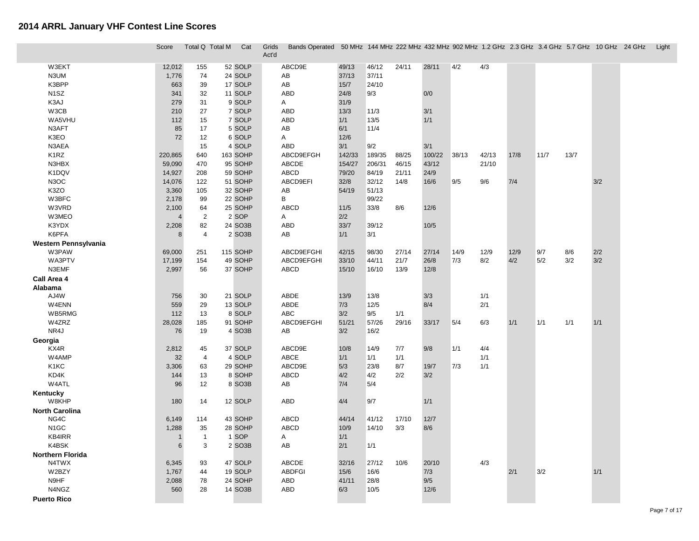|                               | Score          | Total Q Total M | Cat                 | Bands Operated 50 MHz 144 MHz 222 MHz 432 MHz 902 MHz 1.2 GHz 2.3 GHz 3.4 GHz 5.7 GHz 10 GHz 24 GHz Light<br>Grids<br>Act'd |        |        |       |        |       |       |      |      |      |     |  |
|-------------------------------|----------------|-----------------|---------------------|-----------------------------------------------------------------------------------------------------------------------------|--------|--------|-------|--------|-------|-------|------|------|------|-----|--|
| W3EKT                         | 12,012         | 155             | 52 SOLP             | ABCD9E                                                                                                                      | 49/13  | 46/12  | 24/11 | 28/11  | 4/2   | 4/3   |      |      |      |     |  |
| N3UM                          | 1,776          | 74              | 24 SOLP             | AB                                                                                                                          | 37/13  | 37/11  |       |        |       |       |      |      |      |     |  |
| K3BPP                         | 663            | 39              | 17 SOLP             | AB                                                                                                                          | 15/7   | 24/10  |       |        |       |       |      |      |      |     |  |
| N <sub>1</sub> SZ             | 341            | 32              | 11 SOLP             | ABD                                                                                                                         | 24/8   | 9/3    |       | 0/0    |       |       |      |      |      |     |  |
| K3AJ                          | 279            | 31              | 9 SOLP              | A                                                                                                                           | 31/9   |        |       |        |       |       |      |      |      |     |  |
| W3CB                          | 210            | 27              | 7 SOLP              | ABD                                                                                                                         | 13/3   | 11/3   |       | 3/1    |       |       |      |      |      |     |  |
| WA5VHU                        | 112            | 15              | 7 SOLP              | ABD                                                                                                                         | 1/1    | 13/5   |       | 1/1    |       |       |      |      |      |     |  |
| N3AFT                         | 85             | 17              | 5 SOLP              | AB                                                                                                                          | 6/1    | 11/4   |       |        |       |       |      |      |      |     |  |
| K3EO                          | 72             | 12              | 6 SOLP              | A                                                                                                                           | 12/6   |        |       |        |       |       |      |      |      |     |  |
| N3AEA                         |                | 15              | 4 SOLP              | ABD                                                                                                                         | 3/1    | 9/2    |       | 3/1    |       |       |      |      |      |     |  |
| K <sub>1</sub> RZ             | 220,865        | 640             | 163 SOHP            | ABCD9EFGH                                                                                                                   | 142/33 | 189/35 | 88/25 | 100/22 | 38/13 | 42/13 | 17/8 | 11/7 | 13/7 |     |  |
| N3HBX                         | 59,090         | 470             | 95 SOHP             | ABCDE                                                                                                                       | 154/27 | 206/31 | 46/15 | 43/12  |       | 21/10 |      |      |      |     |  |
| K1DQV                         | 14,927         | 208             | 59 SOHP             | ABCD                                                                                                                        | 79/20  | 84/19  | 21/11 | 24/9   |       |       |      |      |      |     |  |
| N3OC                          | 14,076         | 122             | 51 SOHP             | ABCD9EFI                                                                                                                    | 32/8   | 32/12  | 14/8  | 16/6   | 9/5   | 9/6   | 7/4  |      |      | 3/2 |  |
| K3ZO                          | 3,360          | 105             | 32 SOHP             | AB                                                                                                                          | 54/19  | 51/13  |       |        |       |       |      |      |      |     |  |
| W3BFC                         | 2,178          | 99              | 22 SOHP             | В                                                                                                                           |        | 99/22  |       |        |       |       |      |      |      |     |  |
| W3VRD                         | 2,100          | 64              | 25 SOHP             | <b>ABCD</b>                                                                                                                 | $11/5$ | 33/8   | 8/6   | 12/6   |       |       |      |      |      |     |  |
| W3MEO                         | $\overline{4}$ | $\overline{2}$  | 2 SOP               | A                                                                                                                           | 2/2    |        |       |        |       |       |      |      |      |     |  |
| K3YDX                         | 2,208          | 82              | 24 SO3B             | ABD                                                                                                                         | 33/7   | 39/12  |       | 10/5   |       |       |      |      |      |     |  |
| K6PFA                         | 8              | $\overline{4}$  | 2 SO3B              | AB                                                                                                                          | 1/1    | 3/1    |       |        |       |       |      |      |      |     |  |
|                               |                |                 |                     |                                                                                                                             |        |        |       |        |       |       |      |      |      |     |  |
| Western Pennsylvania<br>W3PAW |                |                 |                     | ABCD9EFGHI                                                                                                                  | 42/15  | 98/30  | 27/14 | 27/14  | 14/9  | 12/9  | 12/9 | 9/7  | 8/6  | 2/2 |  |
| WA3PTV                        | 69,000         | 251             | 115 SOHP<br>49 SOHP | ABCD9EFGHI                                                                                                                  |        |        |       | 26/8   | 7/3   | 8/2   | 4/2  | 5/2  | 3/2  | 3/2 |  |
|                               | 17,199         | 154             |                     |                                                                                                                             | 33/10  | 44/11  | 21/7  |        |       |       |      |      |      |     |  |
| N3EMF                         | 2,997          | 56              | 37 SOHP             | ABCD                                                                                                                        | 15/10  | 16/10  | 13/9  | 12/8   |       |       |      |      |      |     |  |
| Call Area 4                   |                |                 |                     |                                                                                                                             |        |        |       |        |       |       |      |      |      |     |  |
| Alabama                       |                |                 |                     |                                                                                                                             |        |        |       |        |       |       |      |      |      |     |  |
| AJ4W                          | 756            | 30              | 21 SOLP             | ABDE                                                                                                                        | 13/9   | 13/8   |       | 3/3    |       | 1/1   |      |      |      |     |  |
| W4ENN                         | 559            | 29              | 13 SOLP             | ABDE                                                                                                                        | 7/3    | 12/5   |       | 8/4    |       | 2/1   |      |      |      |     |  |
| WB5RMG                        | 112            | 13              | 8 SOLP              | ABC                                                                                                                         | 3/2    | 9/5    | 1/1   |        |       |       |      |      |      |     |  |
| W4ZRZ                         | 28,028         | 185             | 91 SOHP             | ABCD9EFGHI                                                                                                                  | 51/21  | 57/26  | 29/16 | 33/17  | 5/4   | 6/3   | 1/1  | 1/1  | 1/1  | 1/1 |  |
| NR4J                          | 76             | 19              | 4 SO <sub>3</sub> B | AB                                                                                                                          | 3/2    | 16/2   |       |        |       |       |      |      |      |     |  |
| Georgia                       |                |                 |                     |                                                                                                                             |        |        |       |        |       |       |      |      |      |     |  |
| KX4R                          | 2,812          | 45              | 37 SOLP             | ABCD9E                                                                                                                      | 10/8   | 14/9   | 7/7   | 9/8    | 1/1   | 4/4   |      |      |      |     |  |
| W4AMP                         | 32             | $\overline{4}$  | 4 SOLP              | ABCE                                                                                                                        | 1/1    | 1/1    | 1/1   |        |       | 1/1   |      |      |      |     |  |
| K1KC                          | 3,306          | 63              | 29 SOHP             | ABCD9E                                                                                                                      | 5/3    | 23/8   | 8/7   | 19/7   | 7/3   | 1/1   |      |      |      |     |  |
| KD4K                          | 144            | 13              | 8 SOHP              | <b>ABCD</b>                                                                                                                 | 4/2    | 4/2    | 2/2   | 3/2    |       |       |      |      |      |     |  |
| W4ATL                         | 96             | 12              | 8 SO3B              | AB                                                                                                                          | 7/4    | 5/4    |       |        |       |       |      |      |      |     |  |
| Kentucky                      |                |                 |                     |                                                                                                                             |        |        |       |        |       |       |      |      |      |     |  |
| W8KHP                         | 180            | 14              | 12 SOLP             | ABD                                                                                                                         | 4/4    | 9/7    |       | 1/1    |       |       |      |      |      |     |  |
| <b>North Carolina</b>         |                |                 |                     |                                                                                                                             |        |        |       |        |       |       |      |      |      |     |  |
| NG4C                          | 6,149          | 114             | 43 SOHP             | <b>ABCD</b>                                                                                                                 | 44/14  | 41/12  | 17/10 | 12/7   |       |       |      |      |      |     |  |
| N <sub>1</sub> GC             | 1,288          | 35              | 28 SOHP             | <b>ABCD</b>                                                                                                                 | 10/9   | 14/10  | 3/3   | 8/6    |       |       |      |      |      |     |  |
| KB4IRR                        | $\mathbf{1}$   | $\mathbf{1}$    | 1 SOP               | A                                                                                                                           | 1/1    |        |       |        |       |       |      |      |      |     |  |
| K4BSK                         | 6              | 3               | 2 SO3B              | AB                                                                                                                          | 2/1    | 1/1    |       |        |       |       |      |      |      |     |  |
| <b>Northern Florida</b>       |                |                 |                     |                                                                                                                             |        |        |       |        |       |       |      |      |      |     |  |
| N4TWX                         | 6,345          | 93              | 47 SOLP             | ABCDE                                                                                                                       | 32/16  | 27/12  | 10/6  | 20/10  |       | 4/3   |      |      |      |     |  |
| W2BZY                         | 1,767          | 44              | 19 SOLP             | <b>ABDFGI</b>                                                                                                               | 15/6   | 16/6   |       | 7/3    |       |       | 2/1  | 3/2  |      | 1/1 |  |
| N9HF                          | 2,088          | 78              | 24 SOHP             | ABD                                                                                                                         | 41/11  | 28/8   |       | 9/5    |       |       |      |      |      |     |  |
| N4NGZ                         | 560            | 28              | 14 SO3B             | ABD                                                                                                                         | 6/3    | 10/5   |       | 12/6   |       |       |      |      |      |     |  |
| <b>Puerto Rico</b>            |                |                 |                     |                                                                                                                             |        |        |       |        |       |       |      |      |      |     |  |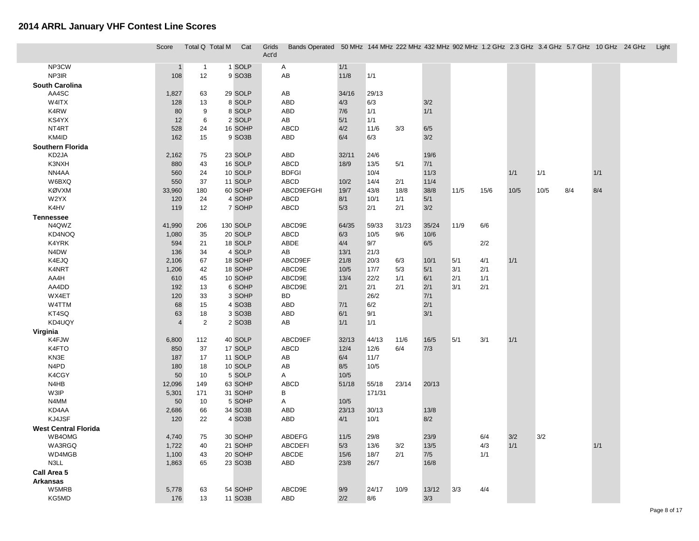I

|                             | Score          | Total Q Total M | Cat                 | Grids<br>Act'd | Bands Operated 50 MHz 144 MHz 222 MHz 432 MHz 902 MHz 1.2 GHz 2.3 GHz 3.4 GHz 5.7 GHz 10 GHz 24 GHz |             |              |            |                |      |            |            |      |     |       | Light |
|-----------------------------|----------------|-----------------|---------------------|----------------|-----------------------------------------------------------------------------------------------------|-------------|--------------|------------|----------------|------|------------|------------|------|-----|-------|-------|
| NP3CW                       | $\mathbf{1}$   | $\mathbf{1}$    | 1 SOLP              |                | A                                                                                                   | 1/1         |              |            |                |      |            |            |      |     |       |       |
| NP3IR                       | 108            | 12              | 9 SO3B              |                | AB                                                                                                  | 11/8        | $1/1$        |            |                |      |            |            |      |     |       |       |
| <b>South Carolina</b>       |                |                 |                     |                |                                                                                                     |             |              |            |                |      |            |            |      |     |       |       |
| AA4SC                       | 1,827          | 63              | 29 SOLP             |                | AB                                                                                                  | 34/16       | 29/13        |            |                |      |            |            |      |     |       |       |
| W4ITX                       | 128            | 13              | 8 SOLP              |                | ABD                                                                                                 | 4/3         | 6/3          |            | 3/2            |      |            |            |      |     |       |       |
| K4RW                        | 80             | 9               | 8 SOLP              |                | ABD                                                                                                 | 7/6         | 1/1          |            | 1/1            |      |            |            |      |     |       |       |
| KS4YX                       | 12             | 6               | 2 SOLP              |                | AB                                                                                                  | 5/1         | 1/1          |            |                |      |            |            |      |     |       |       |
| NT4RT                       | 528            | 24              | 16 SOHP             |                | ABCD                                                                                                | 4/2         | 11/6         | 3/3        | 6/5            |      |            |            |      |     |       |       |
| KM4ID                       | 162            | 15              | 9 SO <sub>3</sub> B |                | ABD                                                                                                 | 6/4         | 6/3          |            | 3/2            |      |            |            |      |     |       |       |
| Southern Florida            |                |                 |                     |                |                                                                                                     |             |              |            |                |      |            |            |      |     |       |       |
| KD2JA                       | 2,162          | 75              | 23 SOLP             |                | ABD                                                                                                 | 32/11       | 24/6         |            | 19/6           |      |            |            |      |     |       |       |
| K3NXH                       | 880            | 43              | 16 SOLP             |                | <b>ABCD</b>                                                                                         | 18/9        | $13/5$       | 5/1        | $7/1$          |      |            |            |      |     |       |       |
| NN4AA                       | 560            | 24              | 10 SOLP             |                | <b>BDFGI</b>                                                                                        |             | 10/4         |            | 11/3           |      |            | 1/1        | 1/1  |     | 1/1   |       |
| W6BXQ                       | 550            | 37              | 11 SOLP             |                | ABCD                                                                                                | 10/2        | 14/4         | 2/1        | 11/4           |      |            |            |      |     |       |       |
| KØVXM                       | 33,960         | 180             | 60 SOHP             |                | ABCD9EFGHI                                                                                          | 19/7        | 43/8         | 18/8       | 38/8           | 11/5 | 15/6       | 10/5       | 10/5 | 8/4 | 8/4   |       |
| W2YX                        | 120            | 24              | 4 SOHP              |                | ABCD                                                                                                | 8/1         | 10/1         | 1/1        | 5/1            |      |            |            |      |     |       |       |
| K4HV                        | 119            | 12              | 7 SOHP              |                | ABCD                                                                                                | 5/3         | 2/1          | 2/1        | 3/2            |      |            |            |      |     |       |       |
| <b>Tennessee</b>            |                |                 |                     |                |                                                                                                     |             |              |            |                |      |            |            |      |     |       |       |
| N4QWZ                       | 41,990         | 206             | 130 SOLP            |                | ABCD9E                                                                                              | 64/35       | 59/33        | 31/23      | 35/24          | 11/9 | 6/6        |            |      |     |       |       |
| KD4NOQ                      | 1,080          | 35              | 20 SOLP             |                | ABCD                                                                                                | 6/3         | 10/5         | 9/6        | 10/6           |      |            |            |      |     |       |       |
| K4YRK                       | 594            | 21              | 18 SOLP             |                | ABDE                                                                                                | 4/4         | 9/7          |            | 6/5            |      | 2/2        |            |      |     |       |       |
| N4DW                        | 136            | 34              | 4 SOLP              |                | AB                                                                                                  | 13/1        | 21/3         |            |                |      |            |            |      |     |       |       |
| K4EJQ                       | 2,106          | 67              | 18 SOHP             |                | ABCD9EF                                                                                             | 21/8        | 20/3         | 6/3        | 10/1           | 5/1  | 4/1        | 1/1        |      |     |       |       |
| K4NRT                       | 1,206          | 42              | 18 SOHP             |                | ABCD9E                                                                                              | 10/5        | 17/7         | 5/3        | 5/1            | 3/1  | 2/1        |            |      |     |       |       |
| AA4H                        | 610            | 45              | 10 SOHP             |                | ABCD9E                                                                                              | 13/4        | 22/2         | 1/1        | 6/1            | 2/1  | 1/1        |            |      |     |       |       |
| AA4DD                       | 192            | 13              | 6 SOHP              |                | ABCD9E                                                                                              | 2/1         | 2/1          | 2/1        | 2/1            | 3/1  | 2/1        |            |      |     |       |       |
| WX4ET                       | 120            | 33              | 3 SOHP              |                | BD                                                                                                  |             | 26/2         |            | $7/1$          |      |            |            |      |     |       |       |
| W4TTM                       | 68             | 15              | 4 SO <sub>3</sub> B |                | ABD                                                                                                 | 7/1         | 6/2          |            | 2/1            |      |            |            |      |     |       |       |
| KT4SQ                       | 63             | 18              | 3 SO <sub>3</sub> B |                | ABD                                                                                                 | 6/1         | 9/1          |            | 3/1            |      |            |            |      |     |       |       |
| KD4UQY                      | $\overline{4}$ | $\overline{2}$  | 2 SO3B              |                | AB                                                                                                  | 1/1         | 1/1          |            |                |      |            |            |      |     |       |       |
| Virginia                    |                |                 |                     |                |                                                                                                     |             |              |            |                |      |            |            |      |     |       |       |
| K4FJW                       | 6,800          | 112             | 40 SOLP             |                | ABCD9EF                                                                                             | 32/13       | 44/13        | 11/6       | 16/5           | 5/1  | 3/1        | 1/1        |      |     |       |       |
| K4FTO                       | 850            | 37              | 17 SOLP             |                | ABCD                                                                                                | 12/4        | 12/6         | 6/4        | 7/3            |      |            |            |      |     |       |       |
| KN3E                        | 187            | 17              | 11 SOLP             |                | AB                                                                                                  | 6/4         | 11/7         |            |                |      |            |            |      |     |       |       |
| N4PD                        | 180            | 18              | 10 SOLP             |                | AB                                                                                                  | 8/5         | 10/5         |            |                |      |            |            |      |     |       |       |
| K4CGY                       | 50             | 10              | 5 SOLP              |                | A                                                                                                   | 10/5        |              |            |                |      |            |            |      |     |       |       |
| N4HB                        | 12,096         | 149             | 63 SOHP             |                | ABCD                                                                                                | 51/18       | 55/18        | 23/14      | 20/13          |      |            |            |      |     |       |       |
| W3IP                        | 5,301          | 171             | 31 SOHP             |                | В                                                                                                   |             | 171/31       |            |                |      |            |            |      |     |       |       |
| N4MM                        | 50             | 10              | 5 SOHP              |                | A                                                                                                   | 10/5        |              |            |                |      |            |            |      |     |       |       |
| KD4AA                       | 2,686          | 66              | 34 SO3B             |                | ABD                                                                                                 | 23/13       | 30/13        |            | 13/8           |      |            |            |      |     |       |       |
| KJ4JSF                      | 120            | 22              | 4 SO <sub>3</sub> B |                | ABD                                                                                                 | 4/1         | 10/1         |            | 8/2            |      |            |            |      |     |       |       |
| <b>West Central Florida</b> |                |                 |                     |                |                                                                                                     |             |              |            |                |      |            |            |      |     |       |       |
| WB4OMG                      | 4,740          | 75              | 30 SOHP             |                | ABDEFG                                                                                              | $11/5$      | 29/8         |            | 23/9<br>$13/5$ |      | 6/4        | 3/2<br>1/1 | 3/2  |     | $1/1$ |       |
| WA3RGQ<br>WD4MGB            | 1,722<br>1,100 | 40              | 21 SOHP<br>20 SOHP  |                | ABCDEFI<br>ABCDE                                                                                    | 5/3<br>15/6 | 13/6<br>18/7 | 3/2<br>2/1 | 7/5            |      | 4/3<br>1/1 |            |      |     |       |       |
| N3LL                        |                | 43              | 23 SO3B             |                |                                                                                                     | 23/8        |              |            |                |      |            |            |      |     |       |       |
|                             | 1,863          | 65              |                     |                | ABD                                                                                                 |             | 26/7         |            | 16/8           |      |            |            |      |     |       |       |
| Call Area 5                 |                |                 |                     |                |                                                                                                     |             |              |            |                |      |            |            |      |     |       |       |
| Arkansas<br>W5MRB           | 5,778          | 63              | 54 SOHP             |                | ABCD9E                                                                                              | 9/9         | 24/17        | 10/9       | 13/12          | 3/3  | 4/4        |            |      |     |       |       |
| KG5MD                       | 176            | 13              | 11 SO3B             |                | ABD                                                                                                 | 2/2         | 8/6          |            | 3/3            |      |            |            |      |     |       |       |
|                             |                |                 |                     |                |                                                                                                     |             |              |            |                |      |            |            |      |     |       |       |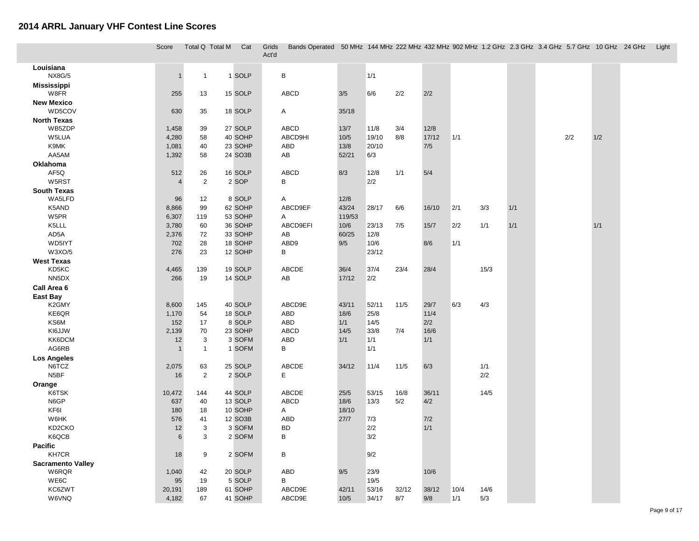|                                   | Score                 |                | Total Q Total M<br>Cat | Grids<br>Act'd | Bands Operated 50 MHz 144 MHz 222 MHz 432 MHz 902 MHz 1.2 GHz 2.3 GHz 3.4 GHz 5.7 GHz 10 GHz 24 GHz Light |                 |            |       |       |       |      |     |     |     |  |
|-----------------------------------|-----------------------|----------------|------------------------|----------------|-----------------------------------------------------------------------------------------------------------|-----------------|------------|-------|-------|-------|------|-----|-----|-----|--|
| Louisiana<br><b>NX8G/5</b>        | $\overline{1}$        | $\mathbf{1}$   | 1 SOLP                 |                | $\sf B$                                                                                                   |                 | 1/1        |       |       |       |      |     |     |     |  |
| <b>Mississippi</b><br>W8FR        | 255                   | 13             | 15 SOLP                |                | <b>ABCD</b>                                                                                               | 3/5             | 6/6        | 2/2   | 2/2   |       |      |     |     |     |  |
| <b>New Mexico</b>                 |                       |                |                        |                |                                                                                                           |                 |            |       |       |       |      |     |     |     |  |
| WD5COV                            | 630                   | 35             | 18 SOLP                |                | Α                                                                                                         | 35/18           |            |       |       |       |      |     |     |     |  |
| <b>North Texas</b>                |                       |                |                        |                |                                                                                                           |                 |            |       |       |       |      |     |     |     |  |
| WB5ZDP                            | 1,458                 | 39             | 27 SOLP                |                | <b>ABCD</b>                                                                                               | 13/7            | 11/8       | 3/4   | 12/8  |       |      |     |     |     |  |
| W5LUA                             | 4,280                 | 58             | 40 SOHP                |                | ABCD9HI                                                                                                   | 10/5            | 19/10      | 8/8   | 17/12 | $1/1$ |      |     | 2/2 | 1/2 |  |
| K9MK                              | 1,081                 | 40             | 23 SOHP                |                | ABD                                                                                                       | 13/8            | 20/10      |       | 7/5   |       |      |     |     |     |  |
| AA5AM                             | 1,392                 | 58             | 24 SO3B                |                | AB                                                                                                        | 52/21           | 6/3        |       |       |       |      |     |     |     |  |
| Oklahoma                          |                       |                |                        |                |                                                                                                           |                 |            |       |       |       |      |     |     |     |  |
| AF5Q                              | 512                   | 26             | 16 SOLP                |                | <b>ABCD</b>                                                                                               | 8/3             | 12/8       | 1/1   | 5/4   |       |      |     |     |     |  |
| W5RST                             | $\overline{4}$        | $\overline{2}$ | 2 SOP                  |                | $\sf B$                                                                                                   |                 | 2/2        |       |       |       |      |     |     |     |  |
| <b>South Texas</b>                |                       |                |                        |                |                                                                                                           |                 |            |       |       |       |      |     |     |     |  |
| WA5LFD                            | 96                    | 12             | 8 SOLP                 |                | Α                                                                                                         | 12/8            |            |       |       |       |      |     |     |     |  |
| K5AND<br>W5PR                     | 8,866<br>6,307        | 99<br>119      | 62 SOHP<br>53 SOHP     |                | ABCD9EF<br>Α                                                                                              | 43/24<br>119/53 | 28/17      | 6/6   | 16/10 | 2/1   | 3/3  | 1/1 |     |     |  |
| K5LLL                             | 3,780                 | 60             | 36 SOHP                |                | ABCD9EFI                                                                                                  | 10/6            | 23/13      | 7/5   | 15/7  | 2/2   | 1/1  | 1/1 |     | 1/1 |  |
| AD5A                              | 2,376                 | 72             | 33 SOHP                |                | AB                                                                                                        | 60/25           | 12/8       |       |       |       |      |     |     |     |  |
| WD5IYT                            | 702                   | 28             | 18 SOHP                |                | ABD9                                                                                                      | 9/5             | 10/6       |       | 8/6   | 1/1   |      |     |     |     |  |
| W3XO/5                            | 276                   | 23             | 12 SOHP                |                | B                                                                                                         |                 | 23/12      |       |       |       |      |     |     |     |  |
| <b>West Texas</b>                 |                       |                |                        |                |                                                                                                           |                 |            |       |       |       |      |     |     |     |  |
| KD5KC                             | 4,465                 | 139            | 19 SOLP                |                | ABCDE                                                                                                     | 36/4            | 37/4       | 23/4  | 28/4  |       | 15/3 |     |     |     |  |
| NN <sub>5</sub> DX                | 266                   | 19             | 14 SOLP                |                | AB                                                                                                        | 17/12           | 2/2        |       |       |       |      |     |     |     |  |
| Call Area 6                       |                       |                |                        |                |                                                                                                           |                 |            |       |       |       |      |     |     |     |  |
| East Bay                          |                       |                |                        |                |                                                                                                           |                 |            |       |       |       |      |     |     |     |  |
| K2GMY                             | 8,600                 | 145            | 40 SOLP                |                | ABCD9E                                                                                                    | 43/11           | 52/11      | 11/5  | 29/7  | 6/3   | 4/3  |     |     |     |  |
| KE6QR                             | 1,170                 | 54             | 18 SOLP                |                | ABD                                                                                                       | 18/6            | 25/8       |       | 11/4  |       |      |     |     |     |  |
| KS6M                              | 152                   | 17             | 8 SOLP                 |                | ABD                                                                                                       | 1/1             | 14/5       |       | 2/2   |       |      |     |     |     |  |
| KI6JJW                            | 2,139                 | 70             | 23 SOHP                |                | <b>ABCD</b>                                                                                               | 14/5            | 33/8       | 7/4   | 16/6  |       |      |     |     |     |  |
| KK6DCM                            | 12                    | 3              | 3 SOFM                 |                | ABD                                                                                                       | 1/1             | 1/1        |       | 1/1   |       |      |     |     |     |  |
| AG6RB                             | $\overline{1}$        | $\mathbf{1}$   | 1 SOFM                 |                | B                                                                                                         |                 | 1/1        |       |       |       |      |     |     |     |  |
| <b>Los Angeles</b>                |                       |                |                        |                |                                                                                                           |                 |            |       |       |       |      |     |     |     |  |
| N6TCZ                             | 2,075                 | 63             | 25 SOLP                |                | ABCDE                                                                                                     | 34/12           | 11/4       | 11/5  | 6/3   |       | 1/1  |     |     |     |  |
| N5BF                              | 16                    | $\overline{2}$ | 2 SOLP                 |                | E                                                                                                         |                 |            |       |       |       | 2/2  |     |     |     |  |
| Orange                            |                       |                |                        |                |                                                                                                           |                 |            |       |       |       |      |     |     |     |  |
| K6TSK                             | 10,472                | 144            | 44 SOLP                |                | ABCDE                                                                                                     | 25/5            | 53/15      | 16/8  | 36/11 |       | 14/5 |     |     |     |  |
| N6GP                              | 637                   | 40             | 13 SOLP                |                | <b>ABCD</b>                                                                                               | 18/6            | 13/3       | 5/2   | 4/2   |       |      |     |     |     |  |
| KF6I                              | 180                   | 18             | 10 SOHP                |                | А                                                                                                         | 18/10           |            |       |       |       |      |     |     |     |  |
| W6HK                              | 576                   | 41             | 12 SO3B                |                | ABD                                                                                                       | 27/7            | 7/3        |       | 7/2   |       |      |     |     |     |  |
| KD2CKO<br>K6QCB                   | 12<br>$6\phantom{1}6$ | 3<br>3         | 3 SOFM<br>2 SOFM       |                | <b>BD</b><br>B                                                                                            |                 | 2/2<br>3/2 |       | 1/1   |       |      |     |     |     |  |
|                                   |                       |                |                        |                |                                                                                                           |                 |            |       |       |       |      |     |     |     |  |
| <b>Pacific</b><br><b>KH7CR</b>    | 18                    | 9              | 2 SOFM                 |                | B                                                                                                         |                 | 9/2        |       |       |       |      |     |     |     |  |
|                                   |                       |                |                        |                |                                                                                                           |                 |            |       |       |       |      |     |     |     |  |
| <b>Sacramento Valley</b><br>W6RQR | 1,040                 | 42             | 20 SOLP                |                | ABD                                                                                                       | 9/5             | 23/9       |       | 10/6  |       |      |     |     |     |  |
| WE6C                              | 95                    | 19             | 5 SOLP                 |                | В                                                                                                         |                 | 19/5       |       |       |       |      |     |     |     |  |
| KC6ZWT                            | 20,191                | 189            | 61 SOHP                |                | ABCD9E                                                                                                    | 42/11           | 53/16      | 32/12 | 38/12 | 10/4  | 14/6 |     |     |     |  |
| W6VNQ                             | 4,182                 | 67             | 41 SOHP                |                | ABCD9E                                                                                                    | 10/5            | 34/17      | 8/7   | 9/8   | 1/1   | 5/3  |     |     |     |  |
|                                   |                       |                |                        |                |                                                                                                           |                 |            |       |       |       |      |     |     |     |  |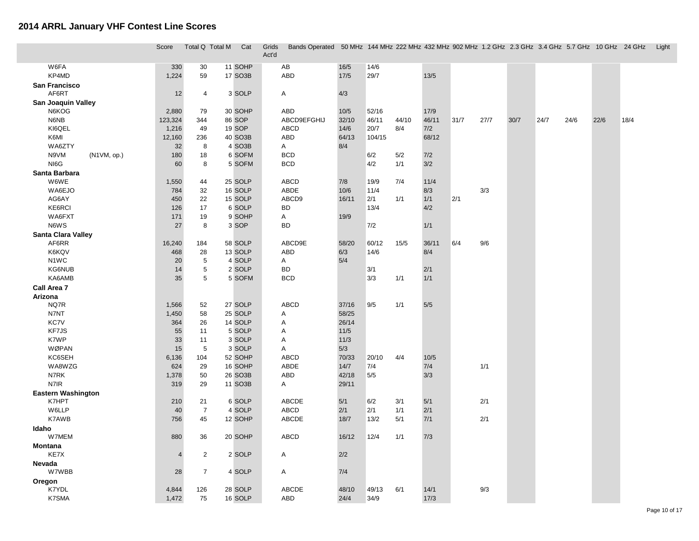|                             | Score          | Total Q Total M | Cat              | Grids<br>Act'd | Bands Operated 50 MHz 144 MHz 222 MHz 432 MHz 902 MHz 1.2 GHz 2.3 GHz 3.4 GHz 5.7 GHz 10 GHz 24 GHz |            |            |       |        |      |      |      |      |      |      |      | Light |
|-----------------------------|----------------|-----------------|------------------|----------------|-----------------------------------------------------------------------------------------------------|------------|------------|-------|--------|------|------|------|------|------|------|------|-------|
| W6FA                        | 330            | 30              | 11 SOHP          |                | AB                                                                                                  | 16/5       | 14/6       |       |        |      |      |      |      |      |      |      |       |
| KP4MD                       | 1,224          | 59              | 17 SO3B          |                | <b>ABD</b>                                                                                          | $17/5$     | 29/7       |       | 13/5   |      |      |      |      |      |      |      |       |
| San Francisco               |                |                 |                  |                |                                                                                                     |            |            |       |        |      |      |      |      |      |      |      |       |
| AF6RT                       | 12             | $\overline{4}$  | 3 SOLP           |                | Α                                                                                                   | 4/3        |            |       |        |      |      |      |      |      |      |      |       |
| <b>San Joaquin Valley</b>   |                |                 |                  |                |                                                                                                     |            |            |       |        |      |      |      |      |      |      |      |       |
| N6KOG                       | 2,880          | 79              | 30 SOHP          |                | ABD                                                                                                 | 10/5       | 52/16      |       | 17/9   |      |      |      |      |      |      |      |       |
| N6NB                        | 123,324        | 344             | 86 SOP           |                | ABCD9EFGHIJ                                                                                         | 32/10      | 46/11      | 44/10 | 46/11  | 31/7 | 27/7 | 30/7 | 24/7 | 24/6 | 22/6 | 18/4 |       |
| KI6QEL                      | 1,216          | 49              | 19 SOP           |                | ABCD                                                                                                | 14/6       | 20/7       | 8/4   | 7/2    |      |      |      |      |      |      |      |       |
| K6MI                        | 12,160         | 236             | 40 SO3B          |                | ABD                                                                                                 | 64/13      | 104/15     |       | 68/12  |      |      |      |      |      |      |      |       |
| WA6ZTY                      | 32             | 8               | 4 SO3B           |                | A                                                                                                   | 8/4        |            |       |        |      |      |      |      |      |      |      |       |
| N9VM<br>(N1VM, op.)         | 180            | 18              | 6 SOFM           |                | <b>BCD</b>                                                                                          |            | 6/2        | 5/2   | 7/2    |      |      |      |      |      |      |      |       |
| NI6G                        | 60             | 8               | 5 SOFM           |                | <b>BCD</b>                                                                                          |            | 4/2        | 1/1   | 3/2    |      |      |      |      |      |      |      |       |
| Santa Barbara               |                |                 |                  |                |                                                                                                     |            |            |       |        |      |      |      |      |      |      |      |       |
| W6WE                        | 1,550          | 44              | 25 SOLP          |                | <b>ABCD</b>                                                                                         | 7/8        | 19/9       | 7/4   | 11/4   |      |      |      |      |      |      |      |       |
| WA6EJO                      | 784            | 32              | 16 SOLP          |                | ABDE                                                                                                | 10/6       | 11/4       |       | 8/3    |      | 3/3  |      |      |      |      |      |       |
| AG6AY                       | 450            | 22              | 15 SOLP          |                | ABCD9                                                                                               | 16/11      | 2/1        | 1/1   | 1/1    | 2/1  |      |      |      |      |      |      |       |
| KE6RCI                      | 126            | 17              | 6 SOLP           |                | <b>BD</b>                                                                                           |            | 13/4       |       | 4/2    |      |      |      |      |      |      |      |       |
| WA6FXT                      | 171            | 19              | 9 SOHP           |                | Α                                                                                                   | 19/9       |            |       |        |      |      |      |      |      |      |      |       |
| N6WS                        | 27             | 8               | 3 SOP            |                | <b>BD</b>                                                                                           |            | 7/2        |       | 1/1    |      |      |      |      |      |      |      |       |
| <b>Santa Clara Valley</b>   |                |                 |                  |                |                                                                                                     |            |            |       |        |      |      |      |      |      |      |      |       |
| AF6RR                       | 16,240         | 184             | 58 SOLP          |                | ABCD9E                                                                                              | 58/20      | 60/12      | 15/5  | 36/11  | 6/4  | 9/6  |      |      |      |      |      |       |
| K6KQV                       | 468            | 28              | 13 SOLP          |                | ABD                                                                                                 | 6/3<br>5/4 | 14/6       |       | 8/4    |      |      |      |      |      |      |      |       |
| N <sub>1</sub> WC<br>KG6NUB | 20<br>14       | $\sqrt{5}$      | 4 SOLP<br>2 SOLP |                | A<br><b>BD</b>                                                                                      |            |            |       | 2/1    |      |      |      |      |      |      |      |       |
| KA6AMB                      | 35             | $\sqrt{5}$<br>5 | 5 SOFM           |                | <b>BCD</b>                                                                                          |            | 3/1<br>3/3 | 1/1   | 1/1    |      |      |      |      |      |      |      |       |
| Call Area 7                 |                |                 |                  |                |                                                                                                     |            |            |       |        |      |      |      |      |      |      |      |       |
| Arizona                     |                |                 |                  |                |                                                                                                     |            |            |       |        |      |      |      |      |      |      |      |       |
| NQ7R                        | 1,566          | 52              | 27 SOLP          |                | <b>ABCD</b>                                                                                         | 37/16      | 9/5        | 1/1   | 5/5    |      |      |      |      |      |      |      |       |
| N7NT                        | 1,450          | 58              | 25 SOLP          |                | Α                                                                                                   | 58/25      |            |       |        |      |      |      |      |      |      |      |       |
| <b>KC7V</b>                 | 364            | 26              | 14 SOLP          |                | Α                                                                                                   | 26/14      |            |       |        |      |      |      |      |      |      |      |       |
| KF7JS                       | 55             | 11              | 5 SOLP           |                | Α                                                                                                   | $11/5$     |            |       |        |      |      |      |      |      |      |      |       |
| K7WP                        | 33             | 11              | 3 SOLP           |                | Α                                                                                                   | 11/3       |            |       |        |      |      |      |      |      |      |      |       |
| WØPAN                       | 15             | 5               | 3 SOLP           |                | Α                                                                                                   | 5/3        |            |       |        |      |      |      |      |      |      |      |       |
| KC6SEH                      | 6,136          | 104             | 52 SOHP          |                | <b>ABCD</b>                                                                                         | 70/33      | 20/10      | 4/4   | $10/5$ |      |      |      |      |      |      |      |       |
| WA8WZG                      | 624            | 29              | 16 SOHP          |                | ABDE                                                                                                | 14/7       | 7/4        |       | 7/4    |      | 1/1  |      |      |      |      |      |       |
| N7RK                        | 1,378          | 50              | 26 SO3B          |                | ABD                                                                                                 | 42/18      | $5/5$      |       | 3/3    |      |      |      |      |      |      |      |       |
| N7IR                        | 319            | 29              | 11 SO3B          |                | A                                                                                                   | 29/11      |            |       |        |      |      |      |      |      |      |      |       |
| <b>Eastern Washington</b>   |                |                 |                  |                |                                                                                                     |            |            |       |        |      |      |      |      |      |      |      |       |
| K7HPT                       | 210            | 21              | 6 SOLP           |                | ABCDE                                                                                               | 5/1        | 6/2        | 3/1   | 5/1    |      | 2/1  |      |      |      |      |      |       |
| W6LLP                       | 40             | $\overline{7}$  | 4 SOLP           |                | ABCD                                                                                                | 2/1        | 2/1        | 1/1   | 2/1    |      |      |      |      |      |      |      |       |
| K7AWB                       | 756            | 45              | 12 SOHP          |                | ABCDE                                                                                               | 18/7       | 13/2       | 5/1   | $7/1$  |      | 2/1  |      |      |      |      |      |       |
| Idaho                       |                |                 |                  |                |                                                                                                     |            |            |       |        |      |      |      |      |      |      |      |       |
| W7MEM                       | 880            | 36              | 20 SOHP          |                | <b>ABCD</b>                                                                                         | 16/12      | 12/4       | 1/1   | 7/3    |      |      |      |      |      |      |      |       |
| Montana                     |                |                 |                  |                |                                                                                                     |            |            |       |        |      |      |      |      |      |      |      |       |
| KE7X                        | $\overline{4}$ | $\overline{2}$  | 2 SOLP           |                | Α                                                                                                   | 2/2        |            |       |        |      |      |      |      |      |      |      |       |
| Nevada                      |                |                 |                  |                |                                                                                                     |            |            |       |        |      |      |      |      |      |      |      |       |
| W7WBB                       | 28             | $\overline{7}$  | 4 SOLP           |                | Α                                                                                                   | 7/4        |            |       |        |      |      |      |      |      |      |      |       |
| Oregon<br>K7YDL             | 4,844          | 126             | 28 SOLP          |                | ABCDE                                                                                               | 48/10      | 49/13      | 6/1   | 14/1   |      | 9/3  |      |      |      |      |      |       |
| K7SMA                       | 1,472          | 75              | 16 SOLP          |                | ABD                                                                                                 | 24/4       | 34/9       |       | 17/3   |      |      |      |      |      |      |      |       |
|                             |                |                 |                  |                |                                                                                                     |            |            |       |        |      |      |      |      |      |      |      |       |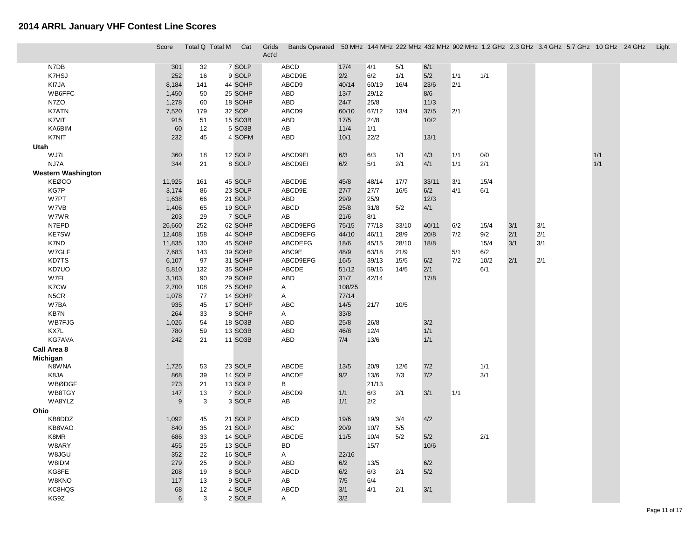|                           | Score          | Total Q Total M | Cat     | Grids<br>Act'd | Bands Operated 50 MHz 144 MHz 222 MHz 432 MHz 902 MHz 1.2 GHz 2.3 GHz 3.4 GHz 5.7 GHz 10 GHz 24 GHz Light |             |              |       |            |     |      |     |     |     |  |
|---------------------------|----------------|-----------------|---------|----------------|-----------------------------------------------------------------------------------------------------------|-------------|--------------|-------|------------|-----|------|-----|-----|-----|--|
| N7DB                      | 301            | 32              | 7 SOLP  |                | ABCD                                                                                                      | 17/4        | 4/1          | 5/1   | 6/1        |     |      |     |     |     |  |
| K7HSJ                     | 252            | 16              | 9 SOLP  |                | ABCD9E                                                                                                    | 2/2         | 6/2          | 1/1   | 5/2        | 1/1 | 1/1  |     |     |     |  |
| KI7JA                     | 8,184          | 141             | 44 SOHP |                | ABCD9                                                                                                     | 40/14       | 60/19        | 16/4  | 23/6       | 2/1 |      |     |     |     |  |
| WB6FFC                    | 1,450          | 50              | 25 SOHP |                | ABD                                                                                                       | 13/7        | 29/12        |       | 8/6        |     |      |     |     |     |  |
| N7ZO                      | 1,278          | 60              | 18 SOHP |                | ABD                                                                                                       | 24/7        | 25/8         |       | 11/3       |     |      |     |     |     |  |
| K7ATN                     | 7,520          | 179             | 32 SOP  |                | ABCD9                                                                                                     | 60/10       | 67/12        | 13/4  | 37/5       | 2/1 |      |     |     |     |  |
| K7VIT                     | 915            | 51              | 15 SO3B |                | ABD                                                                                                       | $17/5$      | 24/8         |       | 10/2       |     |      |     |     |     |  |
| KA6BIM                    | 60             | 12              | 5 SO3B  |                | AB                                                                                                        | 11/4        | 1/1          |       |            |     |      |     |     |     |  |
| K7NIT                     | 232            | 45              | 4 SOFM  |                | ABD                                                                                                       | 10/1        | 22/2         |       | 13/1       |     |      |     |     |     |  |
| Utah                      |                |                 |         |                |                                                                                                           |             |              |       |            |     |      |     |     |     |  |
| WJ7L                      | 360            | 18              | 12 SOLP |                | ABCD9EI                                                                                                   | 6/3         | 6/3          | 1/1   | 4/3        | 1/1 | 0/0  |     |     | 1/1 |  |
| NJ7A                      | 344            | 21              | 8 SOLP  |                | ABCD9EI                                                                                                   | 6/2         | 5/1          | 2/1   | 4/1        | 1/1 | 2/1  |     |     | 1/1 |  |
| <b>Western Washington</b> |                |                 |         |                |                                                                                                           |             |              |       |            |     |      |     |     |     |  |
| <b>KEØCO</b>              | 11,925         | 161             | 45 SOLP |                | ABCD9E                                                                                                    | 45/8        | 48/14        | 17/7  | 33/11      | 3/1 | 15/4 |     |     |     |  |
| KG7P                      | 3,174          | 86              | 23 SOLP |                | ABCD9E                                                                                                    | 27/7        | 27/7         | 16/5  | 6/2        | 4/1 | 6/1  |     |     |     |  |
| W7PT                      | 1,638          | 66              | 21 SOLP |                | ABD                                                                                                       | 29/9        | 25/9         |       | 12/3       |     |      |     |     |     |  |
| W7VB                      | 1,406          | 65              | 19 SOLP |                | ABCD                                                                                                      | 25/8        | 31/8         | 5/2   | 4/1        |     |      |     |     |     |  |
| W7WR                      | 203            | 29              | 7 SOLP  |                | AB                                                                                                        | 21/6        | 8/1          |       |            |     |      |     |     |     |  |
| N7EPD                     | 26,660         | 252             | 62 SOHP |                | ABCD9EFG                                                                                                  | 75/15       | 77/18        | 33/10 | 40/11      | 6/2 | 15/4 | 3/1 | 3/1 |     |  |
| <b>KE7SW</b>              | 12,408         | 158             | 44 SOHP |                | ABCD9EFG                                                                                                  | 44/10       | 46/11        | 28/9  | 20/8       | 7/2 | 9/2  | 2/1 | 2/1 |     |  |
| K7ND                      | 11,835         | 130             | 45 SOHP |                | ABCDEFG                                                                                                   | 18/6        | 45/15        | 28/10 | 18/8       |     | 15/4 | 3/1 | 3/1 |     |  |
| W7GLF                     | 7,683          | 143             | 39 SOHP |                | ABC9E                                                                                                     | 48/9        | 63/18        | 21/9  |            | 5/1 | 6/2  |     |     |     |  |
| KD7TS                     | 6,107          | 97              | 31 SOHP |                | ABCD9EFG                                                                                                  | 16/5        | 39/13        | 15/5  | 6/2        | 7/2 | 10/2 | 2/1 | 2/1 |     |  |
| KD7UO                     | 5,810          | 132             | 35 SOHP |                | ABCDE                                                                                                     | 51/12       | 59/16        | 14/5  | 2/1        |     | 6/1  |     |     |     |  |
| W7FI                      | 3,103          | 90              | 29 SOHP |                | ABD                                                                                                       | 31/7        | 42/14        |       | 17/8       |     |      |     |     |     |  |
| K7CW                      | 2,700          | 108             | 25 SOHP |                | Α                                                                                                         | 108/25      |              |       |            |     |      |     |     |     |  |
| N5CR                      | 1,078          | 77              | 14 SOHP |                | A                                                                                                         | 77/14       |              |       |            |     |      |     |     |     |  |
| W7BA                      | 935            | 45              | 17 SOHP |                | ABC                                                                                                       | 14/5        | 21/7         | 10/5  |            |     |      |     |     |     |  |
| KB7N                      | 264            | 33              | 8 SOHP  |                | A                                                                                                         | 33/8        |              |       |            |     |      |     |     |     |  |
| <b>WB7FJG</b>             | 1,026          | 54              | 18 SO3B |                | ABD                                                                                                       | 25/8        | 26/8         |       | 3/2        |     |      |     |     |     |  |
| KX7L<br>KG7AVA            | 780<br>242     | 59              | 13 SO3B |                | <b>ABD</b><br>ABD                                                                                         | 46/8<br>7/4 | 12/4<br>13/6 |       | 1/1<br>1/1 |     |      |     |     |     |  |
|                           |                | 21              | 11 SO3B |                |                                                                                                           |             |              |       |            |     |      |     |     |     |  |
| Call Area 8               |                |                 |         |                |                                                                                                           |             |              |       |            |     |      |     |     |     |  |
| Michigan<br>N8WNA         | 1,725          | 53              | 23 SOLP |                | ABCDE                                                                                                     | 13/5        | 20/9         | 12/6  | 7/2        |     | 1/1  |     |     |     |  |
| K8JA                      | 868            | 39              | 14 SOLP |                | ABCDE                                                                                                     | 9/2         | 13/6         | 7/3   | 7/2        |     | 3/1  |     |     |     |  |
| <b>WBØDGF</b>             | 273            | 21              | 13 SOLP |                | B                                                                                                         |             | 21/13        |       |            |     |      |     |     |     |  |
| WB8TGY                    | 147            | 13              | 7 SOLP  |                | ABCD9                                                                                                     | 1/1         | 6/3          | 2/1   | 3/1        | 1/1 |      |     |     |     |  |
| WA8YLZ                    | 9              | 3               | 3 SOLP  |                | AB                                                                                                        | 1/1         | 2/2          |       |            |     |      |     |     |     |  |
| Ohio                      |                |                 |         |                |                                                                                                           |             |              |       |            |     |      |     |     |     |  |
| KB8DDZ                    | 1,092          | 45              | 21 SOLP |                | ABCD                                                                                                      | 19/6        | 19/9         | 3/4   | 4/2        |     |      |     |     |     |  |
| KB8VAO                    | 840            | 35              | 21 SOLP |                | ABC                                                                                                       | 20/9        | 10/7         | $5/5$ |            |     |      |     |     |     |  |
| K8MR                      | 686            | 33              | 14 SOLP |                | ABCDE                                                                                                     | 11/5        | 10/4         | 5/2   | 5/2        |     | 2/1  |     |     |     |  |
| W8ARY                     | 455            | 25              | 13 SOLP |                | <b>BD</b>                                                                                                 |             | 15/7         |       | 10/6       |     |      |     |     |     |  |
| W8JGU                     | 352            | 22              | 16 SOLP |                | A                                                                                                         | 22/16       |              |       |            |     |      |     |     |     |  |
| W8IDM                     | 279            | 25              | 9 SOLP  |                | ABD                                                                                                       | 6/2         | 13/5         |       | 6/2        |     |      |     |     |     |  |
| KG8FE                     | 208            | 19              | 8 SOLP  |                | ABCD                                                                                                      | 6/2         | 6/3          | 2/1   | 5/2        |     |      |     |     |     |  |
| W8KNO                     | 117            | 13              | 9 SOLP  |                | AB                                                                                                        | 7/5         | 6/4          |       |            |     |      |     |     |     |  |
| KC8HQS                    | 68             | 12              | 4 SOLP  |                | ABCD                                                                                                      | 3/1         | 4/1          | 2/1   | 3/1        |     |      |     |     |     |  |
| KG9Z                      | $6\phantom{1}$ | 3               | 2 SOLP  |                | A                                                                                                         | 3/2         |              |       |            |     |      |     |     |     |  |
|                           |                |                 |         |                |                                                                                                           |             |              |       |            |     |      |     |     |     |  |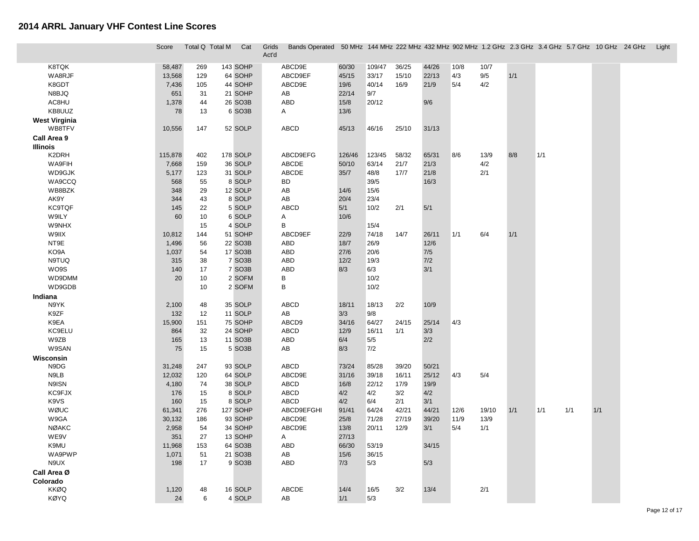|                      | Score   | Total Q Total M | Cat                 | Grids<br>Act'd | Bands Operated 50 MHz 144 MHz 222 MHz 432 MHz 902 MHz 1.2 GHz 2.3 GHz 3.4 GHz 5.7 GHz 10 GHz 24 GHz |        |       |       |      |       |       |     |     |       | Light |
|----------------------|---------|-----------------|---------------------|----------------|-----------------------------------------------------------------------------------------------------|--------|-------|-------|------|-------|-------|-----|-----|-------|-------|
| K8TQK                | 58,487  | 269             | 143 SOHP            | ABCD9E         | 60/30                                                                                               | 109/47 | 36/25 | 44/26 | 10/8 | 10/7  |       |     |     |       |       |
| WA8RJF               | 13,568  | 129             | 64 SOHP             | ABCD9EF        | 45/15                                                                                               | 33/17  | 15/10 | 22/13 | 4/3  | $9/5$ | $1/1$ |     |     |       |       |
| K8GDT                | 7,436   | 105             | 44 SOHP             | ABCD9E         | 19/6                                                                                                | 40/14  | 16/9  | 21/9  | 5/4  | 4/2   |       |     |     |       |       |
| N8BJQ                | 651     | 31              | 21 SOHP             | AB             | 22/14                                                                                               | 9/7    |       |       |      |       |       |     |     |       |       |
| AC8HU                | 1,378   | 44              | 26 SO3B             | ABD            | 15/8                                                                                                | 20/12  |       | 9/6   |      |       |       |     |     |       |       |
| KB8UUZ               | 78      | 13              | 6 SO3B              | A              | 13/6                                                                                                |        |       |       |      |       |       |     |     |       |       |
| <b>West Virginia</b> |         |                 |                     |                |                                                                                                     |        |       |       |      |       |       |     |     |       |       |
| WB8TFV               | 10,556  | 147             | 52 SOLP             | <b>ABCD</b>    | 45/13                                                                                               | 46/16  | 25/10 | 31/13 |      |       |       |     |     |       |       |
| Call Area 9          |         |                 |                     |                |                                                                                                     |        |       |       |      |       |       |     |     |       |       |
| <b>Illinois</b>      |         |                 |                     |                |                                                                                                     |        |       |       |      |       |       |     |     |       |       |
| K2DRH                | 115,878 | 402             | 178 SOLP            | ABCD9EFG       | 126/46                                                                                              | 123/45 | 58/32 | 65/31 | 8/6  | 13/9  | 8/8   | 1/1 |     |       |       |
| WA9FIH               | 7,668   | 159             | 36 SOLP             | ABCDE          | 50/10                                                                                               | 63/14  | 21/7  | 21/3  |      | 4/2   |       |     |     |       |       |
| WD9GJK               | 5,177   | 123             | 31 SOLP             | ABCDE          | 35/7                                                                                                | 48/8   | 17/7  | 21/8  |      | 2/1   |       |     |     |       |       |
| WA9CCQ               | 568     | 55              | 8 SOLP              | BD             |                                                                                                     | 39/5   |       | 16/3  |      |       |       |     |     |       |       |
| WB8BZK               | 348     | 29              | 12 SOLP             | AB             | 14/6                                                                                                | 15/6   |       |       |      |       |       |     |     |       |       |
| AK9Y                 | 344     | 43              | 8 SOLP              | AB             | 20/4                                                                                                | 23/4   |       |       |      |       |       |     |     |       |       |
| <b>KC9TQF</b>        | 145     | 22              | 5 SOLP              | <b>ABCD</b>    | 5/1                                                                                                 | 10/2   | 2/1   | 5/1   |      |       |       |     |     |       |       |
| W9ILY                | 60      | 10              | 6 SOLP              | Α              | 10/6                                                                                                |        |       |       |      |       |       |     |     |       |       |
| W9NHX                |         | 15              | 4 SOLP              | В              |                                                                                                     | 15/4   |       |       |      |       |       |     |     |       |       |
| W9IIX                | 10,812  | 144             | 51 SOHP             | ABCD9EF        | 22/9                                                                                                | 74/18  | 14/7  | 26/11 | 1/1  | 6/4   | 1/1   |     |     |       |       |
| NT9E                 | 1,496   | 56              | 22 SO3B             | ABD            | 18/7                                                                                                | 26/9   |       | 12/6  |      |       |       |     |     |       |       |
| KO9A                 | 1,037   | 54              | 17 SO3B             | ABD            | 27/6                                                                                                | 20/6   |       | 7/5   |      |       |       |     |     |       |       |
| N9TUQ                | 315     | 38              | 7 SO3B              | ABD            | 12/2                                                                                                | 19/3   |       | 7/2   |      |       |       |     |     |       |       |
| WO9S                 | 140     | 17              | 7 SO <sub>3</sub> B | ABD            | 8/3                                                                                                 | 6/3    |       | 3/1   |      |       |       |     |     |       |       |
| WD9DMM               | 20      | 10              | 2 SOFM              | B              |                                                                                                     | 10/2   |       |       |      |       |       |     |     |       |       |
| WD9GDB               |         | 10              | 2 SOFM              | B              |                                                                                                     | 10/2   |       |       |      |       |       |     |     |       |       |
| Indiana              |         |                 |                     |                |                                                                                                     |        |       |       |      |       |       |     |     |       |       |
| N9YK                 | 2,100   | 48              | 35 SOLP             | <b>ABCD</b>    | 18/11                                                                                               | 18/13  | 2/2   | 10/9  |      |       |       |     |     |       |       |
| K9ZF                 | 132     | 12              | 11 SOLP             | AB             | 3/3                                                                                                 | 9/8    |       |       |      |       |       |     |     |       |       |
| K9EA                 | 15,900  | 151             | 75 SOHP             | ABCD9          | 34/16                                                                                               | 64/27  | 24/15 | 25/14 | 4/3  |       |       |     |     |       |       |
| <b>KC9ELU</b>        | 864     | 32              | 24 SOHP             | <b>ABCD</b>    | 12/9                                                                                                | 16/11  | 1/1   | 3/3   |      |       |       |     |     |       |       |
| W9ZB                 | 165     | 13              | 11 SO3B             | ABD            | 6/4                                                                                                 | 5/5    |       | 2/2   |      |       |       |     |     |       |       |
| W9SAN                | 75      | 15              | 5 SO3B              | AB             | 8/3                                                                                                 | 7/2    |       |       |      |       |       |     |     |       |       |
| Wisconsin            |         |                 |                     |                |                                                                                                     |        |       |       |      |       |       |     |     |       |       |
| N9DG                 | 31,248  | 247             | 93 SOLP             | <b>ABCD</b>    | 73/24                                                                                               | 85/28  | 39/20 | 50/21 |      |       |       |     |     |       |       |
| N9LB                 | 12,032  | 120             | 64 SOLP             | ABCD9E         | 31/16                                                                                               | 39/18  | 16/11 | 25/12 | 4/3  | 5/4   |       |     |     |       |       |
| N9ISN                | 4,180   | 74              | 38 SOLP             | ABCD           | 16/8                                                                                                | 22/12  | 17/9  | 19/9  |      |       |       |     |     |       |       |
| KC9FJX               | 176     | 15              | 8 SOLP              | <b>ABCD</b>    | 4/2                                                                                                 | 4/2    | 3/2   | 4/2   |      |       |       |     |     |       |       |
| K9VS                 | 160     | 15              | 8 SOLP              | <b>ABCD</b>    | 4/2                                                                                                 | 6/4    | 2/1   | 3/1   |      |       |       |     |     |       |       |
| WØUC                 | 61,341  | 276             | 127 SOHP            | ABCD9EFGHI     | 91/41                                                                                               | 64/24  | 42/21 | 44/21 | 12/6 | 19/10 | 1/1   | 1/1 | 1/1 | $1/1$ |       |
| W9GA                 | 30,132  | 186             | 93 SOHP             | ABCD9E         | 25/8                                                                                                | 71/28  | 27/19 | 39/20 | 11/9 | 13/9  |       |     |     |       |       |
| <b>NØAKC</b>         | 2,958   | 54              | 34 SOHP             | ABCD9E         | 13/8                                                                                                | 20/11  | 12/9  | 3/1   | 5/4  | 1/1   |       |     |     |       |       |
| WE9V                 | 351     | 27              | 13 SOHP             | A              | 27/13                                                                                               |        |       |       |      |       |       |     |     |       |       |
| K9MU                 | 11,968  | 153             | 64 SO3B             | ABD            | 66/30                                                                                               | 53/19  |       | 34/15 |      |       |       |     |     |       |       |
| WA9PWP               | 1,071   | 51              | 21 SO3B             | AB             | 15/6                                                                                                | 36/15  |       |       |      |       |       |     |     |       |       |
| N9UX                 | 198     | 17              | 9 SO <sub>3</sub> B | ABD            | 7/3                                                                                                 | 5/3    |       | 5/3   |      |       |       |     |     |       |       |
| Call Area Ø          |         |                 |                     |                |                                                                                                     |        |       |       |      |       |       |     |     |       |       |
| Colorado             |         |                 |                     |                |                                                                                                     |        |       |       |      |       |       |     |     |       |       |
| <b>KKØQ</b>          | 1,120   | 48              | 16 SOLP             | ABCDE          | 14/4                                                                                                | 16/5   | 3/2   | 13/4  |      | 2/1   |       |     |     |       |       |
| <b>KØYQ</b>          | 24      | 6               | 4 SOLP              | AB             | 1/1                                                                                                 | 5/3    |       |       |      |       |       |     |     |       |       |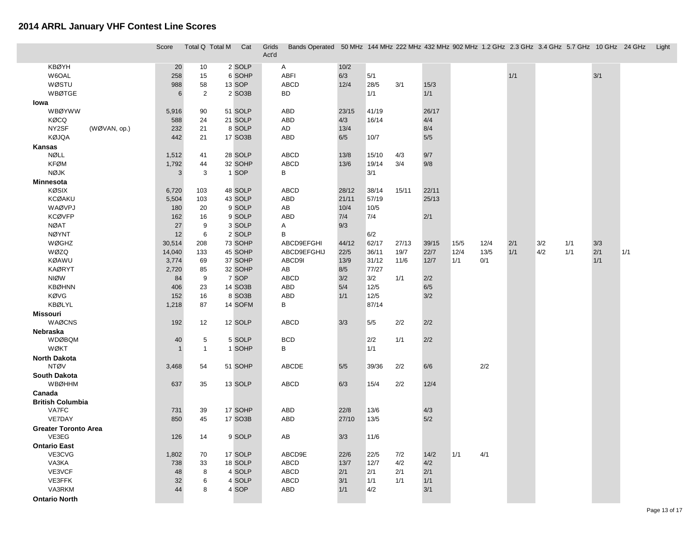|                             | Score        | Total Q Total M | Cat     | Grids<br>Act'd | Bands Operated 50 MHz 144 MHz 222 MHz 432 MHz 902 MHz 1.2 GHz 2.3 GHz 3.4 GHz 5.7 GHz 10 GHz 24 GHz Light |       |       |       |       |      |      |       |     |     |     |     |  |
|-----------------------------|--------------|-----------------|---------|----------------|-----------------------------------------------------------------------------------------------------------|-------|-------|-------|-------|------|------|-------|-----|-----|-----|-----|--|
| <b>KBØYH</b>                | 20           | 10              | 2 SOLP  |                | A                                                                                                         | 10/2  |       |       |       |      |      |       |     |     |     |     |  |
| W6OAL                       | 258          | 15              | 6 SOHP  |                | <b>ABFI</b>                                                                                               | 6/3   | 5/1   |       |       |      |      | $1/1$ |     |     | 3/1 |     |  |
| WØSTU                       | 988          | 58              | 13 SOP  |                | <b>ABCD</b>                                                                                               | 12/4  | 28/5  | 3/1   | 15/3  |      |      |       |     |     |     |     |  |
| <b>WBØTGE</b>               | $\,6$        | $\overline{c}$  | 2 SO3B  |                | <b>BD</b>                                                                                                 |       | 1/1   |       | 1/1   |      |      |       |     |     |     |     |  |
| lowa                        |              |                 |         |                |                                                                                                           |       |       |       |       |      |      |       |     |     |     |     |  |
| <b>WBØYWW</b>               | 5,916        | 90              | 51 SOLP |                | <b>ABD</b>                                                                                                | 23/15 | 41/19 |       | 26/17 |      |      |       |     |     |     |     |  |
| <b>KØCQ</b>                 | 588          | 24              | 21 SOLP |                | ABD                                                                                                       | 4/3   | 16/14 |       | 4/4   |      |      |       |     |     |     |     |  |
| NY2SF<br>(WØVAN, op.)       | 232          | 21              | 8 SOLP  |                | AD                                                                                                        | 13/4  |       |       | 8/4   |      |      |       |     |     |     |     |  |
| <b>KØJQA</b>                | 442          | 21              | 17 SO3B |                | <b>ABD</b>                                                                                                | 6/5   | 10/7  |       | $5/5$ |      |      |       |     |     |     |     |  |
| Kansas                      |              |                 |         |                |                                                                                                           |       |       |       |       |      |      |       |     |     |     |     |  |
| <b>NØLL</b>                 | 1,512        | 41              | 28 SOLP |                | <b>ABCD</b>                                                                                               | 13/8  | 15/10 | 4/3   | 9/7   |      |      |       |     |     |     |     |  |
| <b>KFØM</b>                 | 1,792        | 44              | 32 SOHP |                | <b>ABCD</b>                                                                                               | 13/6  | 19/14 | 3/4   | 9/8   |      |      |       |     |     |     |     |  |
| <b>NØJK</b>                 | 3            | 3               | 1 SOP   |                | В                                                                                                         |       | 3/1   |       |       |      |      |       |     |     |     |     |  |
| <b>Minnesota</b>            |              |                 |         |                |                                                                                                           |       |       |       |       |      |      |       |     |     |     |     |  |
| <b>KØSIX</b>                | 6,720        | 103             | 48 SOLP |                | <b>ABCD</b>                                                                                               | 28/12 | 38/14 | 15/11 | 22/11 |      |      |       |     |     |     |     |  |
| <b>KCØAKU</b>               | 5,504        | 103             | 43 SOLP |                | ABD                                                                                                       | 21/11 | 57/19 |       | 25/13 |      |      |       |     |     |     |     |  |
| WAØVPJ                      | 180          | 20              | 9 SOLP  |                | AB                                                                                                        | 10/4  | 10/5  |       |       |      |      |       |     |     |     |     |  |
| <b>KCØVFP</b>               | 162          | 16              | 9 SOLP  |                | <b>ABD</b>                                                                                                | 7/4   | 7/4   |       | 2/1   |      |      |       |     |     |     |     |  |
| <b>NØAT</b>                 | 27           | 9               | 3 SOLP  |                | Α                                                                                                         | 9/3   |       |       |       |      |      |       |     |     |     |     |  |
| <b>NØYNT</b>                | 12           | 6               | 2 SOLP  |                | В                                                                                                         |       | 6/2   |       |       |      |      |       |     |     |     |     |  |
| WØGHZ                       | 30,514       | 208             | 73 SOHP |                | ABCD9EFGHI                                                                                                | 44/12 | 62/17 | 27/13 | 39/15 | 15/5 | 12/4 | 2/1   | 3/2 | 1/1 | 3/3 |     |  |
| WØZQ                        | 14,040       | 133             | 45 SOHP |                | ABCD9EFGHIJ                                                                                               | 22/5  | 36/11 | 19/7  | 22/7  | 12/4 | 13/5 | 1/1   | 4/2 | 1/1 | 2/1 | 1/1 |  |
| <b>KØAWU</b>                | 3,774        | 69              | 37 SOHP |                | ABCD9I                                                                                                    | 13/9  | 31/12 | 11/6  | 12/7  | 1/1  | 0/1  |       |     |     | 1/1 |     |  |
| <b>KAØRYT</b>               | 2,720        | 85              | 32 SOHP |                | AB                                                                                                        | 8/5   | 77/27 |       |       |      |      |       |     |     |     |     |  |
| <b>NIØW</b>                 | 84           | 9               | 7 SOP   |                | <b>ABCD</b>                                                                                               | 3/2   | 3/2   | 1/1   | 2/2   |      |      |       |     |     |     |     |  |
| <b>KBØHNN</b>               | 406          | 23              | 14 SO3B |                | ABD                                                                                                       | 5/4   | 12/5  |       | 6/5   |      |      |       |     |     |     |     |  |
| KØVG                        | 152          | 16              | 8 SO3B  |                | ABD                                                                                                       | 1/1   | 12/5  |       | 3/2   |      |      |       |     |     |     |     |  |
| <b>KBØLYL</b>               | 1,218        | 87              | 14 SOFM |                | В                                                                                                         |       | 87/14 |       |       |      |      |       |     |     |     |     |  |
| <b>Missouri</b>             |              |                 |         |                |                                                                                                           |       |       |       |       |      |      |       |     |     |     |     |  |
| <b>WAØCNS</b>               | 192          | 12              | 12 SOLP |                | <b>ABCD</b>                                                                                               | 3/3   | 5/5   | 2/2   | 2/2   |      |      |       |     |     |     |     |  |
| Nebraska                    |              |                 |         |                |                                                                                                           |       |       |       |       |      |      |       |     |     |     |     |  |
| <b>WDØBQM</b>               | 40           | 5               | 5 SOLP  |                | <b>BCD</b>                                                                                                |       | 2/2   | 1/1   | 2/2   |      |      |       |     |     |     |     |  |
| <b>WØKT</b>                 | $\mathbf{1}$ | $\mathbf{1}$    | 1 SOHP  |                | В                                                                                                         |       | 1/1   |       |       |      |      |       |     |     |     |     |  |
| <b>North Dakota</b>         |              |                 |         |                |                                                                                                           |       |       |       |       |      |      |       |     |     |     |     |  |
| <b>NTØV</b>                 | 3,468        | 54              | 51 SOHP |                | ABCDE                                                                                                     | 5/5   | 39/36 | 2/2   | 6/6   |      | 2/2  |       |     |     |     |     |  |
| <b>South Dakota</b>         |              |                 |         |                |                                                                                                           |       |       |       |       |      |      |       |     |     |     |     |  |
| <b>WBØHHM</b>               | 637          | 35              | 13 SOLP |                | <b>ABCD</b>                                                                                               | 6/3   | 15/4  | 2/2   | 12/4  |      |      |       |     |     |     |     |  |
| Canada                      |              |                 |         |                |                                                                                                           |       |       |       |       |      |      |       |     |     |     |     |  |
| <b>British Columbia</b>     |              |                 |         |                |                                                                                                           |       |       |       |       |      |      |       |     |     |     |     |  |
| VA7FC                       | 731          | 39              | 17 SOHP |                | ABD                                                                                                       | 22/8  | 13/6  |       | 4/3   |      |      |       |     |     |     |     |  |
| VE7DAY                      | 850          | 45              | 17 SO3B |                | ABD                                                                                                       | 27/10 | 13/5  |       | 5/2   |      |      |       |     |     |     |     |  |
| <b>Greater Toronto Area</b> |              |                 |         |                |                                                                                                           |       |       |       |       |      |      |       |     |     |     |     |  |
| VE3EG                       | 126          | 14              | 9 SOLP  |                | AB                                                                                                        | 3/3   | 11/6  |       |       |      |      |       |     |     |     |     |  |
| <b>Ontario East</b>         |              |                 |         |                |                                                                                                           |       |       |       |       |      |      |       |     |     |     |     |  |
| VE3CVG                      | 1,802        | 70              | 17 SOLP |                | ABCD9E                                                                                                    | 22/6  | 22/5  | 7/2   | 14/2  | 1/1  | 4/1  |       |     |     |     |     |  |
| VA3KA                       | 738          | 33              | 18 SOLP |                | <b>ABCD</b>                                                                                               | 13/7  | 12/7  | 4/2   | 4/2   |      |      |       |     |     |     |     |  |
| VE3VCF                      | 48           | 8               | 4 SOLP  |                | <b>ABCD</b>                                                                                               | 2/1   | 2/1   | 2/1   | 2/1   |      |      |       |     |     |     |     |  |
| VE3FFK                      | 32           | 6               | 4 SOLP  |                | <b>ABCD</b>                                                                                               | 3/1   | 1/1   | 1/1   | 1/1   |      |      |       |     |     |     |     |  |
| VA3RKM                      | 44           | 8               | 4 SOP   |                | ABD                                                                                                       | 1/1   | 4/2   |       | 3/1   |      |      |       |     |     |     |     |  |
| <b>Ontario North</b>        |              |                 |         |                |                                                                                                           |       |       |       |       |      |      |       |     |     |     |     |  |
|                             |              |                 |         |                |                                                                                                           |       |       |       |       |      |      |       |     |     |     |     |  |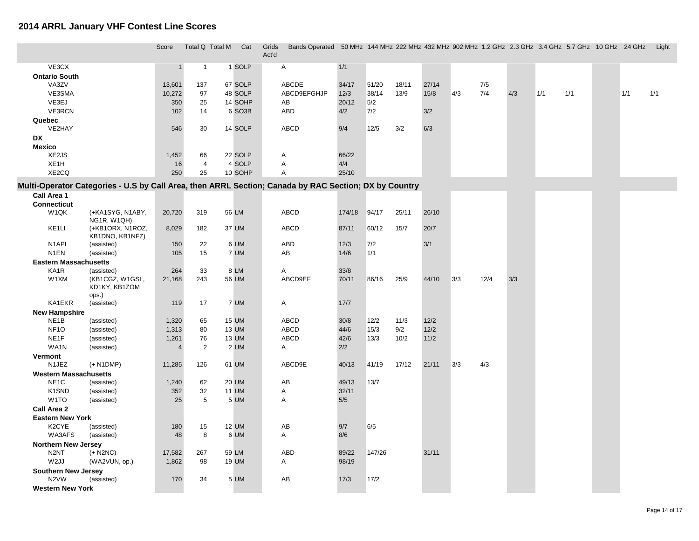|                                                                                                       |                               | Score            | Total Q Total M | Cat                | Grids | Bands Operated 50 MHz 144 MHz 222 MHz 432 MHz 902 MHz 1.2 GHz 2.3 GHz 3.4 GHz 5.7 GHz 10 GHz 24 GHz |               |                |               |               |     |            |     |     |     |     | Light |
|-------------------------------------------------------------------------------------------------------|-------------------------------|------------------|-----------------|--------------------|-------|-----------------------------------------------------------------------------------------------------|---------------|----------------|---------------|---------------|-----|------------|-----|-----|-----|-----|-------|
|                                                                                                       |                               |                  |                 |                    | Act'd |                                                                                                     |               |                |               |               |     |            |     |     |     |     |       |
| VE3CX                                                                                                 |                               | $\mathbf{1}$     | $\mathbf{1}$    | 1 SOLP             |       | Α                                                                                                   | 1/1           |                |               |               |     |            |     |     |     |     |       |
| <b>Ontario South</b>                                                                                  |                               |                  |                 |                    |       |                                                                                                     |               |                |               |               |     |            |     |     |     |     |       |
| VA3ZV<br>VE3SMA                                                                                       |                               | 13,601<br>10,272 | 137<br>97       | 67 SOLP<br>48 SOLP |       | ABCDE<br>ABCD9EFGHJP                                                                                | 34/17<br>12/3 | 51/20<br>38/14 | 18/11<br>13/9 | 27/14<br>15/8 | 4/3 | 7/5<br>7/4 | 4/3 | 1/1 | 1/1 | 1/1 | 1/1   |
| VE3EJ                                                                                                 |                               | 350              | 25              | 14 SOHP            |       | AB                                                                                                  | 20/12         | 5/2            |               |               |     |            |     |     |     |     |       |
| VE3RCN                                                                                                |                               | 102              | 14              | 6 SO3B             |       | <b>ABD</b>                                                                                          | 4/2           | 7/2            |               | 3/2           |     |            |     |     |     |     |       |
| Quebec                                                                                                |                               |                  |                 |                    |       |                                                                                                     |               |                |               |               |     |            |     |     |     |     |       |
| VE2HAY                                                                                                |                               | 546              | 30              | 14 SOLP            |       | <b>ABCD</b>                                                                                         | 9/4           | 12/5           | 3/2           | 6/3           |     |            |     |     |     |     |       |
| DX                                                                                                    |                               |                  |                 |                    |       |                                                                                                     |               |                |               |               |     |            |     |     |     |     |       |
| <b>Mexico</b>                                                                                         |                               |                  |                 |                    |       |                                                                                                     |               |                |               |               |     |            |     |     |     |     |       |
| XE2JS                                                                                                 |                               | 1,452            | 66              | 22 SOLP            |       | Α                                                                                                   | 66/22         |                |               |               |     |            |     |     |     |     |       |
| XE1H                                                                                                  |                               | 16               | $\overline{4}$  | 4 SOLP             |       | $\overline{A}$                                                                                      | 4/4           |                |               |               |     |            |     |     |     |     |       |
| XE2CQ                                                                                                 |                               | 250              | 25              | 10 SOHP            |       | A                                                                                                   | 25/10         |                |               |               |     |            |     |     |     |     |       |
| Multi-Operator Categories - U.S by Call Area, then ARRL Section; Canada by RAC Section; DX by Country |                               |                  |                 |                    |       |                                                                                                     |               |                |               |               |     |            |     |     |     |     |       |
| Call Area 1                                                                                           |                               |                  |                 |                    |       |                                                                                                     |               |                |               |               |     |            |     |     |     |     |       |
| <b>Connecticut</b>                                                                                    |                               |                  |                 |                    |       |                                                                                                     |               |                |               |               |     |            |     |     |     |     |       |
| W <sub>1</sub> QK                                                                                     | (+KA1SYG, N1ABY,              | 20,720           | 319             | 56 LM              |       | ABCD                                                                                                | 174/18        | 94/17          | 25/11         | 26/10         |     |            |     |     |     |     |       |
|                                                                                                       | NG1R, W1QH)                   |                  |                 |                    |       |                                                                                                     |               |                |               |               |     |            |     |     |     |     |       |
| KE <sub>1</sub> LI                                                                                    | (+KB1ORX, N1ROZ,              | 8,029            | 182             | 37 UM              |       | <b>ABCD</b>                                                                                         | 87/11         | 60/12          | 15/7          | 20/7          |     |            |     |     |     |     |       |
|                                                                                                       | KB1DNO, KB1NFZ)               |                  |                 |                    |       |                                                                                                     |               |                |               |               |     |            |     |     |     |     |       |
| N <sub>1</sub> API<br>N <sub>1</sub> EN                                                               | (assisted)                    | 150              | 22              | 6 UM               |       | <b>ABD</b>                                                                                          | 12/3          | 7/2            |               | 3/1           |     |            |     |     |     |     |       |
|                                                                                                       | (assisted)                    | 105              | 15              | 7 UM               |       | AB                                                                                                  | 14/6          | 1/1            |               |               |     |            |     |     |     |     |       |
| <b>Eastern Massachusetts</b>                                                                          |                               | 264              | 33              | 8 LM               |       |                                                                                                     | 33/8          |                |               |               |     |            |     |     |     |     |       |
| KA1R<br>W1XM                                                                                          | (assisted)<br>(KB1CGZ, W1GSL, | 21,168           | 243             | 56 UM              |       | A<br>ABCD9EF                                                                                        | 70/11         | 86/16          | 25/9          | 44/10         | 3/3 | 12/4       | 3/3 |     |     |     |       |
|                                                                                                       | KD1KY, KB1ZOM                 |                  |                 |                    |       |                                                                                                     |               |                |               |               |     |            |     |     |     |     |       |
|                                                                                                       | ops.)                         |                  |                 |                    |       |                                                                                                     |               |                |               |               |     |            |     |     |     |     |       |
| KA1EKR                                                                                                | (assisted)                    | 119              | 17              | 7 UM               |       | A                                                                                                   | $17/7$        |                |               |               |     |            |     |     |     |     |       |
| <b>New Hampshire</b>                                                                                  |                               |                  |                 |                    |       |                                                                                                     |               |                |               |               |     |            |     |     |     |     |       |
| NE <sub>1</sub> B                                                                                     | (assisted)                    | 1,320            | 65              | <b>15 UM</b>       |       | <b>ABCD</b>                                                                                         | 30/8          | 12/2           | 11/3          | 12/2          |     |            |     |     |     |     |       |
| NF <sub>10</sub>                                                                                      | (assisted)                    | 1,313            | 80              | 13 UM              |       | ABCD                                                                                                | 44/6          | 15/3           | 9/2           | 12/2          |     |            |     |     |     |     |       |
| NE <sub>1</sub> F                                                                                     | (assisted)                    | 1,261            | 76              | 13 UM              |       | <b>ABCD</b>                                                                                         | 42/6          | 13/3           | 10/2          | 11/2          |     |            |     |     |     |     |       |
| WA1N                                                                                                  | (assisted)                    | $\overline{4}$   | 2               | 2 UM               |       | A                                                                                                   | 2/2           |                |               |               |     |            |     |     |     |     |       |
| Vermont                                                                                               |                               |                  |                 |                    |       |                                                                                                     |               |                |               |               |     |            |     |     |     |     |       |
| N1JEZ                                                                                                 | $(+ N1DMP)$                   | 11,285           | 126             | 61 UM              |       | ABCD9E                                                                                              | 40/13         | 41/19          | 17/12         | 21/11         | 3/3 | 4/3        |     |     |     |     |       |
| <b>Western Massachusetts</b>                                                                          |                               |                  |                 |                    |       |                                                                                                     |               |                |               |               |     |            |     |     |     |     |       |
| NE <sub>1</sub> C                                                                                     | (assisted)                    | 1,240            | 62              | <b>20 UM</b>       |       | AB                                                                                                  | 49/13         | 13/7           |               |               |     |            |     |     |     |     |       |
| K1SND                                                                                                 | (assisted)                    | 352              | 32              | <b>11 UM</b>       |       | A                                                                                                   | 32/11         |                |               |               |     |            |     |     |     |     |       |
| W <sub>1</sub> TO                                                                                     | (assisted)                    | 25               | 5               | 5 UM               |       | A                                                                                                   | 5/5           |                |               |               |     |            |     |     |     |     |       |
| Call Area 2                                                                                           |                               |                  |                 |                    |       |                                                                                                     |               |                |               |               |     |            |     |     |     |     |       |
| <b>Eastern New York</b><br>K2CYE                                                                      |                               | 180              | 15              | 12 UM              |       | AB                                                                                                  | 9/7           | 6/5            |               |               |     |            |     |     |     |     |       |
| WA3AFS                                                                                                | (assisted)<br>(assisted)      | 48               | 8               | 6 UM               |       | A                                                                                                   | 8/6           |                |               |               |     |            |     |     |     |     |       |
| <b>Northern New Jersey</b>                                                                            |                               |                  |                 |                    |       |                                                                                                     |               |                |               |               |     |            |     |     |     |     |       |
| N <sub>2</sub> NT                                                                                     | $(+$ N2NC)                    | 17,582           | 267             | 59 LM              |       | ABD                                                                                                 | 89/22         | 147/26         |               | 31/11         |     |            |     |     |     |     |       |
| W <sub>2JJ</sub>                                                                                      | (WA2VUN, op.)                 | 1,862            | 98              | 19 UM              |       | Α                                                                                                   | 98/19         |                |               |               |     |            |     |     |     |     |       |
| <b>Southern New Jersey</b>                                                                            |                               |                  |                 |                    |       |                                                                                                     |               |                |               |               |     |            |     |     |     |     |       |
| N <sub>2</sub> VW                                                                                     | (assisted)                    | 170              | 34              | 5 UM               |       | AB                                                                                                  | 17/3          | 17/2           |               |               |     |            |     |     |     |     |       |
| <b>Western New York</b>                                                                               |                               |                  |                 |                    |       |                                                                                                     |               |                |               |               |     |            |     |     |     |     |       |
|                                                                                                       |                               |                  |                 |                    |       |                                                                                                     |               |                |               |               |     |            |     |     |     |     |       |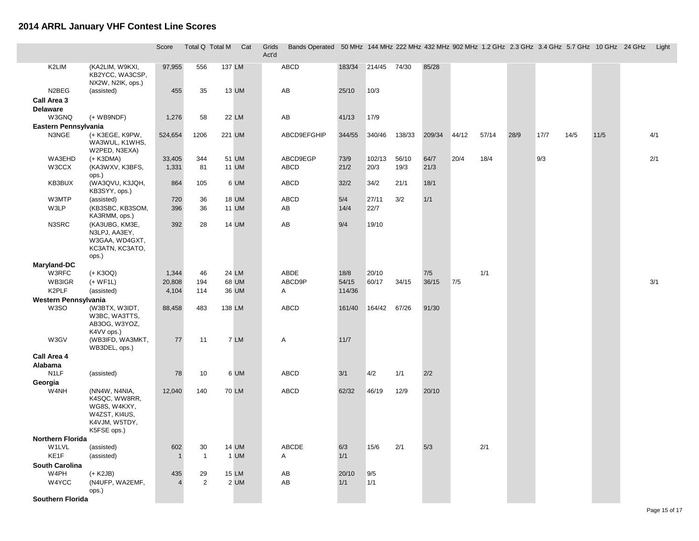П

|                              |                                                                                                 | Score          | Total Q Total M |        | Cat          | Grids<br>Act'd | Bands Operated 50 MHz 144 MHz 222 MHz 432 MHz 902 MHz 1.2 GHz 2.3 GHz 3.4 GHz 5.7 GHz 10 GHz 24 GHz Light |        |              |        |        |       |       |      |      |      |      |     |
|------------------------------|-------------------------------------------------------------------------------------------------|----------------|-----------------|--------|--------------|----------------|-----------------------------------------------------------------------------------------------------------|--------|--------------|--------|--------|-------|-------|------|------|------|------|-----|
| K2LIM                        | (KA2LIM, W9KXI,<br>KB2YCC, WA3CSP,<br>NX2W, N2IK, ops.)                                         | 97,955         | 556             | 137 LM |              |                | ABCD                                                                                                      | 183/34 | 214/45 74/30 |        | 85/28  |       |       |      |      |      |      |     |
| N2BEG                        | (assisted)                                                                                      | 455            | 35              |        | 13 UM        |                | AB                                                                                                        | 25/10  | 10/3         |        |        |       |       |      |      |      |      |     |
| Call Area 3<br>Delaware      |                                                                                                 |                |                 |        |              |                |                                                                                                           |        |              |        |        |       |       |      |      |      |      |     |
| W3GNQ                        | $(+$ WB9NDF)                                                                                    | 1,276          | 58              |        | 22 LM        |                | AB                                                                                                        | 41/13  | 17/9         |        |        |       |       |      |      |      |      |     |
| Eastern Pennsylvania         |                                                                                                 |                |                 |        |              |                |                                                                                                           |        |              |        |        |       |       |      |      |      |      |     |
| N3NGE                        | (+ K3EGE, K9PW,<br>WA3WUL, K1WHS,<br>W2PED, N3EXA)                                              | 524,654        | 1206            |        | 221 UM       |                | ABCD9EFGHIP                                                                                               | 344/55 | 340/46       | 138/33 | 209/34 | 44/12 | 57/14 | 28/9 | 17/7 | 14/5 | 11/5 | 4/1 |
| WA3EHD                       | (+ K3DMA)                                                                                       | 33,405         | 344             |        | 51 UM        |                | ABCD9EGP                                                                                                  | 73/9   | 102/13       | 56/10  | 64/7   | 20/4  | 18/4  |      | 9/3  |      |      | 2/1 |
| W3CCX                        | (KA3WXV, K3BFS,<br>ops.)                                                                        | 1,331          | 81              |        | <b>11 UM</b> |                | ABCD                                                                                                      | 21/2   | 20/3         | 19/3   | 21/3   |       |       |      |      |      |      |     |
| KB3BUX                       | (WA3QVU, K3JQH,<br>KB3SYY, ops.)                                                                | 864            | 105             |        | 6 UM         |                | ABCD                                                                                                      | 32/2   | 34/2         | 21/1   | 18/1   |       |       |      |      |      |      |     |
| W3MTP                        | (assisted)                                                                                      | 720            | 36              |        | <b>18 UM</b> |                | ABCD                                                                                                      | 5/4    | 27/11        | 3/2    | 1/1    |       |       |      |      |      |      |     |
| W3LP                         | (KB3SBC, KB3SOM,<br>KA3RMM, ops.)                                                               | 396            | 36              |        | <b>11 UM</b> |                | AB                                                                                                        | 14/4   | 22/7         |        |        |       |       |      |      |      |      |     |
| N3SRC                        | (KA3UBG, KM3E,<br>N3LPJ, AA3EY,<br>W3GAA, WD4GXT,<br>KC3ATN, KC3ATO,<br>ops.)                   | 392            | 28              |        | 14 UM        |                | AB                                                                                                        | 9/4    | 19/10        |        |        |       |       |      |      |      |      |     |
| Maryland-DC                  |                                                                                                 |                |                 |        |              |                |                                                                                                           |        |              |        |        |       |       |      |      |      |      |     |
| W3RFC                        | (+ K3OQ)                                                                                        | 1,344          | 46              |        | 24 LM        |                | ABDE                                                                                                      | 18/8   | 20/10        |        | 7/5    |       | 1/1   |      |      |      |      |     |
| WB3IGR                       | $(+ WF1L)$                                                                                      | 20,808         | 194             |        | 68 UM        |                | ABCD9P                                                                                                    | 54/15  | 60/17        | 34/15  | 36/15  | 7/5   |       |      |      |      |      | 3/1 |
| K2PLF                        | (assisted)                                                                                      | 4,104          | 114             |        | 36 UM        |                | A                                                                                                         | 114/36 |              |        |        |       |       |      |      |      |      |     |
|                              |                                                                                                 |                |                 |        |              |                |                                                                                                           |        |              |        |        |       |       |      |      |      |      |     |
| Western Pennsylvania<br>W3SO | (W3BTX, W3IDT,<br>W3BC, WA3TTS,<br>AB3OG, W3YOZ,<br>K4VV ops.)                                  | 88,458         | 483             | 138 LM |              |                | ABCD                                                                                                      | 161/40 | 164/42       | 67/26  | 91/30  |       |       |      |      |      |      |     |
| W3GV                         | (WB3IFD, WA3MKT,<br>WB3DEL, ops.)                                                               | 77             | 11              |        | 7 LM         |                | Α                                                                                                         | 11/7   |              |        |        |       |       |      |      |      |      |     |
| Call Area 4                  |                                                                                                 |                |                 |        |              |                |                                                                                                           |        |              |        |        |       |       |      |      |      |      |     |
| Alabama                      |                                                                                                 |                |                 |        |              |                |                                                                                                           |        |              |        |        |       |       |      |      |      |      |     |
| N <sub>1</sub> LF            | (assisted)                                                                                      | 78             | 10              |        | 6 UM         |                | ABCD                                                                                                      | 3/1    | 4/2          | 1/1    | 2/2    |       |       |      |      |      |      |     |
| Georgia                      |                                                                                                 |                |                 |        |              |                |                                                                                                           |        |              |        |        |       |       |      |      |      |      |     |
| W4NH                         | (NN4W, N4NIA,<br>K4SQC, WW8RR,<br>WG8S, W4KXY,<br>W4ZST, KI4US,<br>K4VJM, W5TDY,<br>K5FSE ops.) | 12,040         | 140             |        | 70 LM        |                | ABCD                                                                                                      | 62/32  | 46/19        | 12/9   | 20/10  |       |       |      |      |      |      |     |
| Northern Florida             |                                                                                                 |                |                 |        |              |                |                                                                                                           |        |              |        |        |       |       |      |      |      |      |     |
| W1LVL                        | (assisted)                                                                                      | 602            | 30              |        | 14 UM        |                | ABCDE                                                                                                     | 6/3    | 15/6         | 2/1    | 5/3    |       | 2/1   |      |      |      |      |     |
| KE1F                         | (assisted)                                                                                      | $\mathbf{1}$   | $\mathbf{1}$    |        | 1 UM         |                | Α                                                                                                         | 1/1    |              |        |        |       |       |      |      |      |      |     |
| <b>South Carolina</b>        |                                                                                                 |                |                 |        |              |                |                                                                                                           |        |              |        |        |       |       |      |      |      |      |     |
| W4PH                         | $(+$ K2JB)                                                                                      | 435            | 29              |        | <b>15 LM</b> |                | AB                                                                                                        | 20/10  | 9/5          |        |        |       |       |      |      |      |      |     |
| W4YCC                        | (N4UFP, WA2EMF,<br>ops.)                                                                        | $\overline{4}$ | $\overline{2}$  |        | 2 UM         |                | AB                                                                                                        | 1/1    | $1/1$        |        |        |       |       |      |      |      |      |     |
| Southern Florida             |                                                                                                 |                |                 |        |              |                |                                                                                                           |        |              |        |        |       |       |      |      |      |      |     |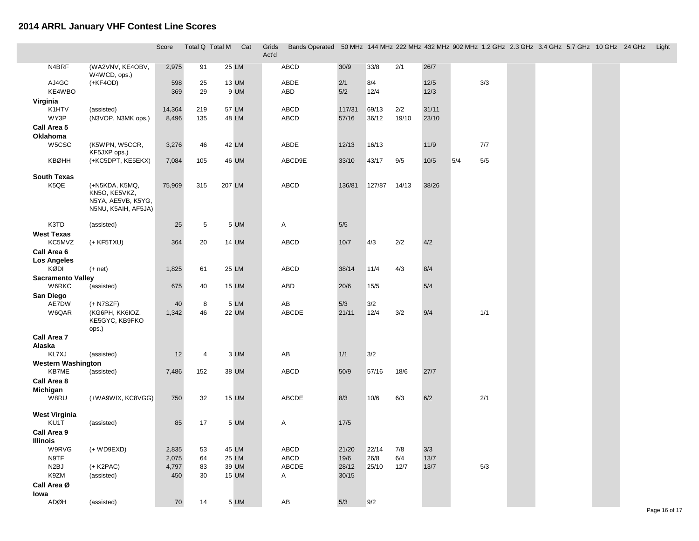|                              |                                                                              | Score      | Total Q Total M |        | Cat           | Grids<br>Act'd | Bands Operated 50 MHz 144 MHz 222 MHz 432 MHz 902 MHz 1.2 GHz 2.3 GHz 3.4 GHz 5.7 GHz 10 GHz 24 GHz |            |             |       |              |     |       |  |  | Light |
|------------------------------|------------------------------------------------------------------------------|------------|-----------------|--------|---------------|----------------|-----------------------------------------------------------------------------------------------------|------------|-------------|-------|--------------|-----|-------|--|--|-------|
| N4BRF                        | (WA2VNV, KE4OBV,<br>W4WCD, ops.)                                             | 2,975      | 91              |        | 25 LM         |                | ABCD                                                                                                | 30/9       | 33/8        | 2/1   | 26/7         |     |       |  |  |       |
| AJ4GC<br>KE4WBO              | $(+KF4OD)$                                                                   | 598<br>369 | 25<br>29        |        | 13 UM<br>9 UM |                | ABDE<br>ABD                                                                                         | 2/1<br>5/2 | 8/4<br>12/4 |       | 12/5<br>12/3 |     | 3/3   |  |  |       |
| Virginia                     |                                                                              |            |                 |        |               |                |                                                                                                     |            |             |       |              |     |       |  |  |       |
| K1HTV                        | (assisted)                                                                   | 14,364     | 219             |        | 57 LM         |                | ABCD                                                                                                | 117/31     | 69/13       | 2/2   | 31/11        |     |       |  |  |       |
| WY3P                         | (N3VOP, N3MK ops.)                                                           | 8,496      | 135             |        | 48 LM         |                | ABCD                                                                                                | 57/16      | 36/12       | 19/10 | 23/10        |     |       |  |  |       |
| Call Area 5<br>Oklahoma      |                                                                              |            |                 |        |               |                |                                                                                                     |            |             |       |              |     |       |  |  |       |
| W5CSC                        | (K5WPN, W5CCR,<br>KF5JXP ops.)                                               | 3,276      | 46              |        | 42 LM         |                | ABDE                                                                                                | 12/13      | 16/13       |       | 11/9         |     | 7/7   |  |  |       |
| <b>KBØHH</b>                 | (+KC5DPT, KE5EKX)                                                            | 7,084      | 105             |        | 46 UM         |                | ABCD9E                                                                                              | 33/10      | 43/17       | 9/5   | 10/5         | 5/4 | $5/5$ |  |  |       |
| <b>South Texas</b><br>K5QE   | (+N5KDA, K5MQ,<br>KN5O, KE5VKZ,<br>N5YA, AE5VB, K5YG,<br>N5NU, K5AIH, AF5JA) | 75,969     | 315             | 207 LM |               |                | ABCD                                                                                                | 136/81     | 127/87      | 14/13 | 38/26        |     |       |  |  |       |
| K3TD                         | (assisted)                                                                   | 25         | 5               |        | 5 UM          |                | Α                                                                                                   | 5/5        |             |       |              |     |       |  |  |       |
| West Texas                   |                                                                              |            |                 |        |               |                |                                                                                                     |            |             |       |              |     |       |  |  |       |
| KC5MVZ                       | $(+ KF5TXU)$                                                                 | 364        | 20              |        | 14 UM         |                | <b>ABCD</b>                                                                                         | $10/7$     | 4/3         | 2/2   | 4/2          |     |       |  |  |       |
| Call Area 6                  |                                                                              |            |                 |        |               |                |                                                                                                     |            |             |       |              |     |       |  |  |       |
| <b>Los Angeles</b><br>KØDI   | $(+$ net)                                                                    | 1,825      | 61              |        | 25 LM         |                | <b>ABCD</b>                                                                                         | 38/14      | 11/4        | 4/3   | 8/4          |     |       |  |  |       |
| <b>Sacramento Valley</b>     |                                                                              |            |                 |        |               |                |                                                                                                     |            |             |       |              |     |       |  |  |       |
| W6RKC                        | (assisted)                                                                   | 675        | 40              |        | <b>15 UM</b>  |                | ABD                                                                                                 | 20/6       | 15/5        |       | 5/4          |     |       |  |  |       |
| San Diego                    |                                                                              |            |                 |        |               |                |                                                                                                     |            |             |       |              |     |       |  |  |       |
| AE7DW                        | $(+ N7SZF)$                                                                  | 40         | 8               |        | 5 LM          |                | AB                                                                                                  | 5/3        | 3/2         |       |              |     |       |  |  |       |
| W6QAR                        | (KG6PH, KK6IOZ,<br>KE5GYC, KB9FKO<br>ops.)                                   | 1,342      | 46              |        | <b>22 UM</b>  |                | ABCDE                                                                                               | 21/11      | 12/4        | 3/2   | 9/4          |     | 1/1   |  |  |       |
| Call Area 7                  |                                                                              |            |                 |        |               |                |                                                                                                     |            |             |       |              |     |       |  |  |       |
| Alaska<br>KL7XJ              | (assisted)                                                                   | 12         | 4               |        | 3 UM          |                | AB                                                                                                  | 1/1        | 3/2         |       |              |     |       |  |  |       |
| <b>Western Washington</b>    |                                                                              |            |                 |        |               |                |                                                                                                     |            |             |       |              |     |       |  |  |       |
| KB7ME                        | (assisted)                                                                   | 7,486      | 152             |        | 38 UM         |                | ABCD                                                                                                | 50/9       | 57/16       | 18/6  | 27/7         |     |       |  |  |       |
| Call Area 8                  |                                                                              |            |                 |        |               |                |                                                                                                     |            |             |       |              |     |       |  |  |       |
| Michigan                     |                                                                              |            |                 |        |               |                |                                                                                                     |            |             |       |              |     |       |  |  |       |
| W8RU                         | (+WA9WIX, KC8VGG)                                                            | 750        | 32              |        | <b>15 UM</b>  |                | ABCDE                                                                                               | 8/3        | 10/6        | 6/3   | 6/2          |     | 2/1   |  |  |       |
| <b>West Virginia</b><br>KU1T | (assisted)                                                                   | 85         | 17              |        | 5 UM          |                | Α                                                                                                   | 17/5       |             |       |              |     |       |  |  |       |
| Call Area 9                  |                                                                              |            |                 |        |               |                |                                                                                                     |            |             |       |              |     |       |  |  |       |
| <b>Illinois</b>              |                                                                              |            |                 |        |               |                |                                                                                                     |            |             |       |              |     |       |  |  |       |
| W9RVG                        | $(+$ WD9EXD)                                                                 | 2,835      | 53              |        | 45 LM         |                | ABCD                                                                                                | 21/20      | 22/14       | 7/8   | 3/3          |     |       |  |  |       |
| N9TF                         |                                                                              | 2,075      | 64              |        | 25 LM         |                | ABCD                                                                                                | $19/6$     | 26/8        | 6/4   | $13/7$       |     |       |  |  |       |
| N2BJ                         | $(+$ K2PAC)                                                                  | 4,797      | 83              |        | 39 UM         |                | ABCDE                                                                                               | 28/12      | 25/10       | 12/7  | 13/7         |     | 5/3   |  |  |       |
| K9ZM                         | (assisted)                                                                   | 450        | 30              |        | <b>15 UM</b>  |                | A                                                                                                   | 30/15      |             |       |              |     |       |  |  |       |
| Call Area Ø<br>lowa          |                                                                              |            |                 |        |               |                |                                                                                                     |            |             |       |              |     |       |  |  |       |
| ADØH                         | (assisted)                                                                   | 70         | 14              |        | 5 UM          |                | ${\sf AB}$                                                                                          | 5/3        | 9/2         |       |              |     |       |  |  |       |
|                              |                                                                              |            |                 |        |               |                |                                                                                                     |            |             |       |              |     |       |  |  |       |